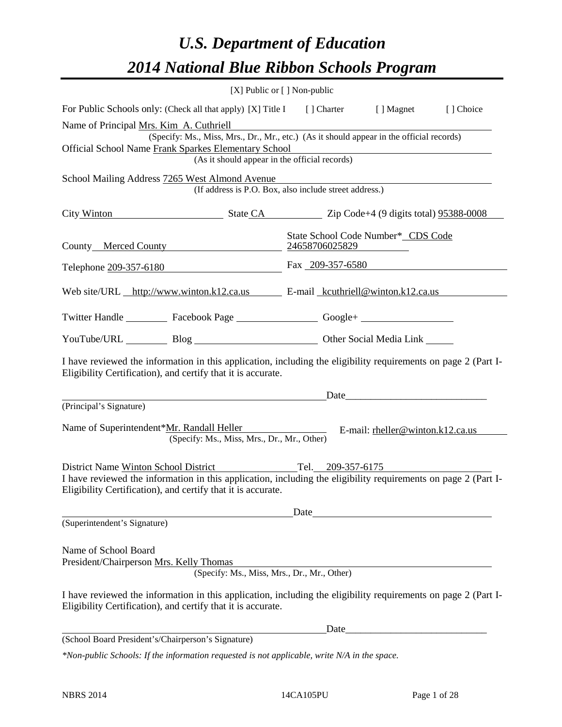# *U.S. Department of Education 2014 National Blue Ribbon Schools Program*

|                                                                                                                                                                                                                                                   | $[X]$ Public or $[ ]$ Non-public                                                                                                          |      |                                                          |  |  |  |  |  |
|---------------------------------------------------------------------------------------------------------------------------------------------------------------------------------------------------------------------------------------------------|-------------------------------------------------------------------------------------------------------------------------------------------|------|----------------------------------------------------------|--|--|--|--|--|
| For Public Schools only: (Check all that apply) [X] Title I [] Charter [] Magnet<br>[] Choice                                                                                                                                                     |                                                                                                                                           |      |                                                          |  |  |  |  |  |
| Name of Principal Mrs. Kim A. Cuthriell<br><b>Official School Name Frank Sparkes Elementary School</b>                                                                                                                                            | (Specify: Ms., Miss, Mrs., Dr., Mr., etc.) (As it should appear in the official records)<br>(As it should appear in the official records) |      |                                                          |  |  |  |  |  |
| School Mailing Address 7265 West Almond Avenue                                                                                                                                                                                                    | (If address is P.O. Box, also include street address.)                                                                                    |      |                                                          |  |  |  |  |  |
| City Winton State CA State CA Zip Code+4 (9 digits total) 95388-0008                                                                                                                                                                              |                                                                                                                                           |      |                                                          |  |  |  |  |  |
| State School Code Number* CDS Code<br>County Merced County 24658706025829                                                                                                                                                                         |                                                                                                                                           |      |                                                          |  |  |  |  |  |
| Telephone 209-357-6180 Fax 209-357-6580                                                                                                                                                                                                           |                                                                                                                                           |      |                                                          |  |  |  |  |  |
| Web site/URL http://www.winton.k12.ca.us E-mail kcuthriell@winton.k12.ca.us                                                                                                                                                                       |                                                                                                                                           |      |                                                          |  |  |  |  |  |
| Twitter Handle ___________ Facebook Page ___________________ Google+ ____________                                                                                                                                                                 |                                                                                                                                           |      |                                                          |  |  |  |  |  |
| YouTube/URL Blog Blog Cher Social Media Link                                                                                                                                                                                                      |                                                                                                                                           |      |                                                          |  |  |  |  |  |
| I have reviewed the information in this application, including the eligibility requirements on page 2 (Part I-<br>Eligibility Certification), and certify that it is accurate.                                                                    |                                                                                                                                           |      |                                                          |  |  |  |  |  |
| (Principal's Signature)                                                                                                                                                                                                                           |                                                                                                                                           |      |                                                          |  |  |  |  |  |
| Name of Superintendent*Mr. Randall Heller                                                                                                                                                                                                         | (Specify: Ms., Miss, Mrs., Dr., Mr., Other)                                                                                               |      | E-mail: rheller@winton.k12.ca.us                         |  |  |  |  |  |
| District Name Winton School District<br>I have reviewed the information in this application, including the eligibility requirements on page 2 (Part I-<br>Eligibility Certification), and certify that it is accurate.                            | Tel. 209-357-6175                                                                                                                         |      |                                                          |  |  |  |  |  |
| (Superintendent's Signature)                                                                                                                                                                                                                      |                                                                                                                                           | Date |                                                          |  |  |  |  |  |
| Name of School Board<br>President/Chairperson Mrs. Kelly Thomas<br>I have reviewed the information in this application, including the eligibility requirements on page 2 (Part I-<br>Eligibility Certification), and certify that it is accurate. | (Specify: Ms., Miss, Mrs., Dr., Mr., Other)                                                                                               |      |                                                          |  |  |  |  |  |
|                                                                                                                                                                                                                                                   |                                                                                                                                           | Date | <u> 1989 - Johann John Stone, mars eta biztanleria (</u> |  |  |  |  |  |
| (School Board President's/Chairperson's Signature)                                                                                                                                                                                                |                                                                                                                                           |      |                                                          |  |  |  |  |  |
| *Non-public Schools: If the information requested is not applicable, write N/A in the space.                                                                                                                                                      |                                                                                                                                           |      |                                                          |  |  |  |  |  |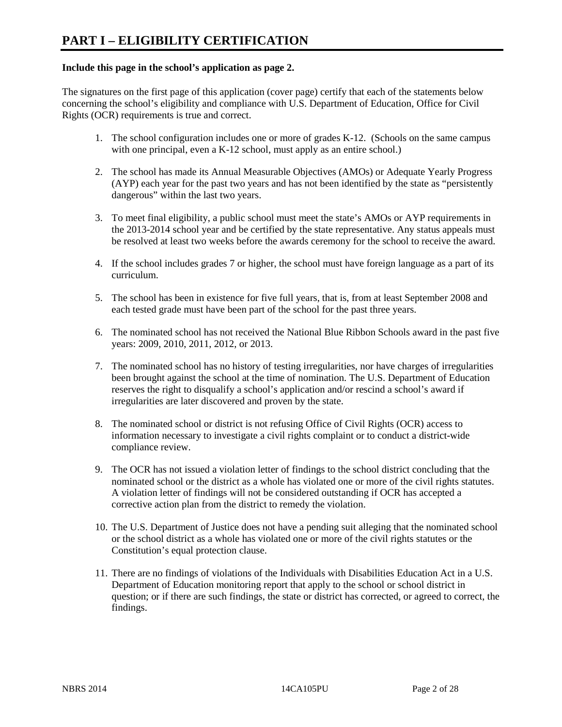#### **Include this page in the school's application as page 2.**

The signatures on the first page of this application (cover page) certify that each of the statements below concerning the school's eligibility and compliance with U.S. Department of Education, Office for Civil Rights (OCR) requirements is true and correct.

- 1. The school configuration includes one or more of grades K-12. (Schools on the same campus with one principal, even a K-12 school, must apply as an entire school.)
- 2. The school has made its Annual Measurable Objectives (AMOs) or Adequate Yearly Progress (AYP) each year for the past two years and has not been identified by the state as "persistently dangerous" within the last two years.
- 3. To meet final eligibility, a public school must meet the state's AMOs or AYP requirements in the 2013-2014 school year and be certified by the state representative. Any status appeals must be resolved at least two weeks before the awards ceremony for the school to receive the award.
- 4. If the school includes grades 7 or higher, the school must have foreign language as a part of its curriculum.
- 5. The school has been in existence for five full years, that is, from at least September 2008 and each tested grade must have been part of the school for the past three years.
- 6. The nominated school has not received the National Blue Ribbon Schools award in the past five years: 2009, 2010, 2011, 2012, or 2013.
- 7. The nominated school has no history of testing irregularities, nor have charges of irregularities been brought against the school at the time of nomination. The U.S. Department of Education reserves the right to disqualify a school's application and/or rescind a school's award if irregularities are later discovered and proven by the state.
- 8. The nominated school or district is not refusing Office of Civil Rights (OCR) access to information necessary to investigate a civil rights complaint or to conduct a district-wide compliance review.
- 9. The OCR has not issued a violation letter of findings to the school district concluding that the nominated school or the district as a whole has violated one or more of the civil rights statutes. A violation letter of findings will not be considered outstanding if OCR has accepted a corrective action plan from the district to remedy the violation.
- 10. The U.S. Department of Justice does not have a pending suit alleging that the nominated school or the school district as a whole has violated one or more of the civil rights statutes or the Constitution's equal protection clause.
- 11. There are no findings of violations of the Individuals with Disabilities Education Act in a U.S. Department of Education monitoring report that apply to the school or school district in question; or if there are such findings, the state or district has corrected, or agreed to correct, the findings.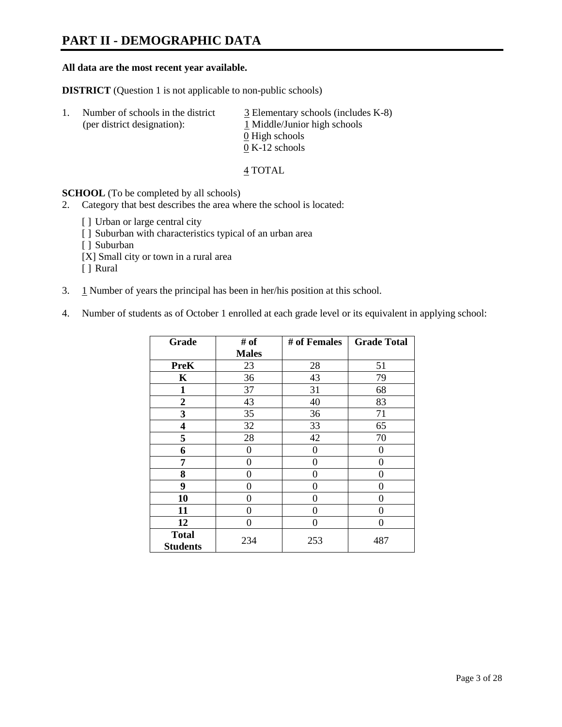### **PART II - DEMOGRAPHIC DATA**

#### **All data are the most recent year available.**

**DISTRICT** (Question 1 is not applicable to non-public schools)

| -1. | Number of schools in the district<br>(per district designation): | $\overline{3}$ Elementary schools (includes K-8)<br>1 Middle/Junior high schools |
|-----|------------------------------------------------------------------|----------------------------------------------------------------------------------|
|     |                                                                  | 0 High schools                                                                   |
|     |                                                                  | $0 K-12$ schools                                                                 |

4 TOTAL

**SCHOOL** (To be completed by all schools)

- 2. Category that best describes the area where the school is located:
	- [] Urban or large central city
	- [ ] Suburban with characteristics typical of an urban area
	- [ ] Suburban
	- [X] Small city or town in a rural area
	- [ ] Rural
- 3. 1 Number of years the principal has been in her/his position at this school.
- 4. Number of students as of October 1 enrolled at each grade level or its equivalent in applying school:

| Grade                           | # of         | # of Females | <b>Grade Total</b> |
|---------------------------------|--------------|--------------|--------------------|
|                                 | <b>Males</b> |              |                    |
| <b>PreK</b>                     | 23           | 28           | 51                 |
| K                               | 36           | 43           | 79                 |
| $\mathbf{1}$                    | 37           | 31           | 68                 |
| $\boldsymbol{2}$                | 43           | 40           | 83                 |
| 3                               | 35           | 36           | 71                 |
| 4                               | 32           | 33           | 65                 |
| 5                               | 28           | 42           | 70                 |
| 6                               | 0            | 0            | $\theta$           |
| 7                               | 0            | $\theta$     | $\theta$           |
| 8                               | 0            | 0            | 0                  |
| 9                               | 0            | 0            | 0                  |
| 10                              | 0            | 0            | 0                  |
| 11                              | 0            | 0            | 0                  |
| 12                              | 0            | $\theta$     | 0                  |
| <b>Total</b><br><b>Students</b> | 234          | 253          | 487                |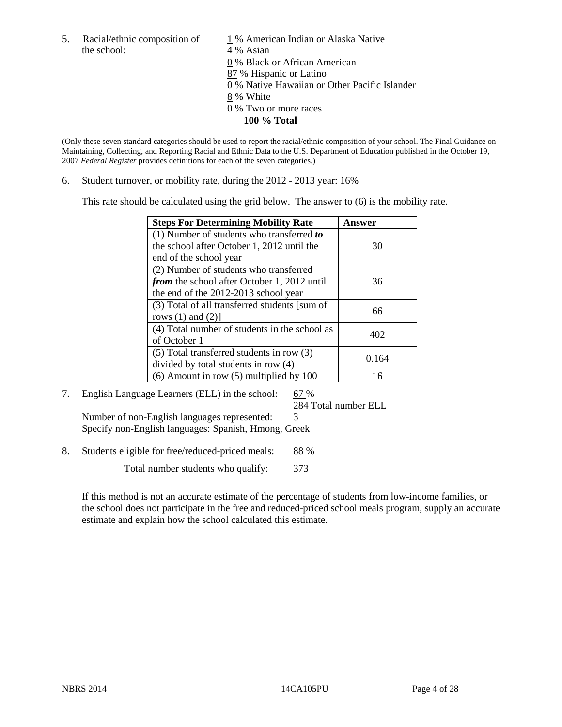the school: 4 % Asian

5. Racial/ethnic composition of  $1\%$  American Indian or Alaska Native 0 % Black or African American 87 % Hispanic or Latino 0 % Native Hawaiian or Other Pacific Islander 8 % White 0 % Two or more races **100 % Total** 

(Only these seven standard categories should be used to report the racial/ethnic composition of your school. The Final Guidance on Maintaining, Collecting, and Reporting Racial and Ethnic Data to the U.S. Department of Education published in the October 19, 2007 *Federal Register* provides definitions for each of the seven categories.)

6. Student turnover, or mobility rate, during the 2012 - 2013 year: 16%

This rate should be calculated using the grid below. The answer to (6) is the mobility rate.

| <b>Steps For Determining Mobility Rate</b>         | Answer |
|----------------------------------------------------|--------|
| (1) Number of students who transferred to          |        |
| the school after October 1, 2012 until the         | 30     |
| end of the school year                             |        |
| (2) Number of students who transferred             |        |
| <i>from</i> the school after October 1, 2012 until | 36     |
| the end of the 2012-2013 school year               |        |
| (3) Total of all transferred students [sum of      | 66     |
| rows $(1)$ and $(2)$ ]                             |        |
| (4) Total number of students in the school as      | 402    |
| of October 1                                       |        |
| $(5)$ Total transferred students in row $(3)$      | 0.164  |
| divided by total students in row (4)               |        |
| $(6)$ Amount in row $(5)$ multiplied by 100        | 16     |

#### 7. English Language Learners (ELL) in the school:  $67\%$

284 Total number ELL

Number of non-English languages represented: 3 Specify non-English languages: Spanish, Hmong, Greek

8. Students eligible for free/reduced-priced meals: 88 %

Total number students who qualify: 373

If this method is not an accurate estimate of the percentage of students from low-income families, or the school does not participate in the free and reduced-priced school meals program, supply an accurate estimate and explain how the school calculated this estimate.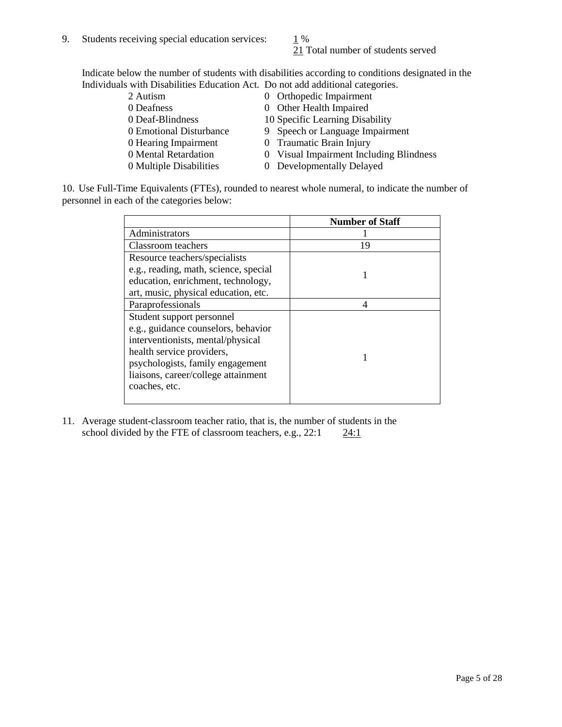### 21 Total number of students served

Indicate below the number of students with disabilities according to conditions designated in the Individuals with Disabilities Education Act. Do not add additional categories.

| 2 Autism                | 0 Orthopedic Impairment                 |
|-------------------------|-----------------------------------------|
| 0 Deafness              | 0 Other Health Impaired                 |
| 0 Deaf-Blindness        | 10 Specific Learning Disability         |
| 0 Emotional Disturbance | 9 Speech or Language Impairment         |
| 0 Hearing Impairment    | 0 Traumatic Brain Injury                |
| 0 Mental Retardation    | 0 Visual Impairment Including Blindness |
| 0 Multiple Disabilities | 0 Developmentally Delayed               |
|                         |                                         |

10. Use Full-Time Equivalents (FTEs), rounded to nearest whole numeral, to indicate the number of personnel in each of the categories below:

|                                       | <b>Number of Staff</b> |
|---------------------------------------|------------------------|
| Administrators                        |                        |
| <b>Classroom</b> teachers             | 19                     |
| Resource teachers/specialists         |                        |
| e.g., reading, math, science, special |                        |
| education, enrichment, technology,    |                        |
| art, music, physical education, etc.  |                        |
| Paraprofessionals                     |                        |
| Student support personnel             |                        |
| e.g., guidance counselors, behavior   |                        |
| interventionists, mental/physical     |                        |
| health service providers,             |                        |
| psychologists, family engagement      |                        |
| liaisons, career/college attainment   |                        |
| coaches, etc.                         |                        |
|                                       |                        |

11. Average student-classroom teacher ratio, that is, the number of students in the school divided by the FTE of classroom teachers, e.g.,  $22:1$   $24:1$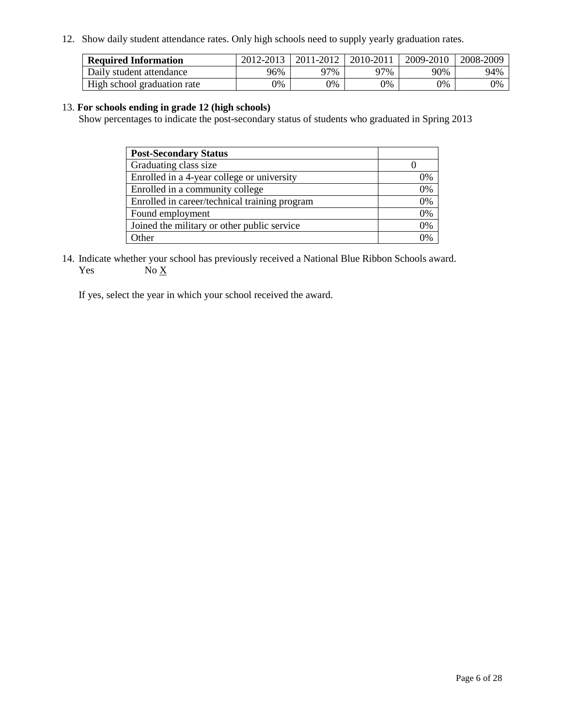12. Show daily student attendance rates. Only high schools need to supply yearly graduation rates.

| <b>Required Information</b> | 2012-2013 | 2011-2012 | 2010-2011 | 2009-2010 | 2008-2009 |
|-----------------------------|-----------|-----------|-----------|-----------|-----------|
| Daily student attendance    | 96%       | 97%       | 77%       | 90%       | 94%       |
| High school graduation rate | 0%        | 9%        | 0%        | 0%        | 0%        |

#### 13. **For schools ending in grade 12 (high schools)**

Show percentages to indicate the post-secondary status of students who graduated in Spring 2013

| <b>Post-Secondary Status</b>                  |    |
|-----------------------------------------------|----|
| Graduating class size                         |    |
| Enrolled in a 4-year college or university    | 0% |
| Enrolled in a community college               | 0% |
| Enrolled in career/technical training program | 0% |
| Found employment                              | 0% |
| Joined the military or other public service   | 0% |
| <b>Other</b>                                  | 2% |

14. Indicate whether your school has previously received a National Blue Ribbon Schools award. Yes  $No \underline{X}$ 

If yes, select the year in which your school received the award.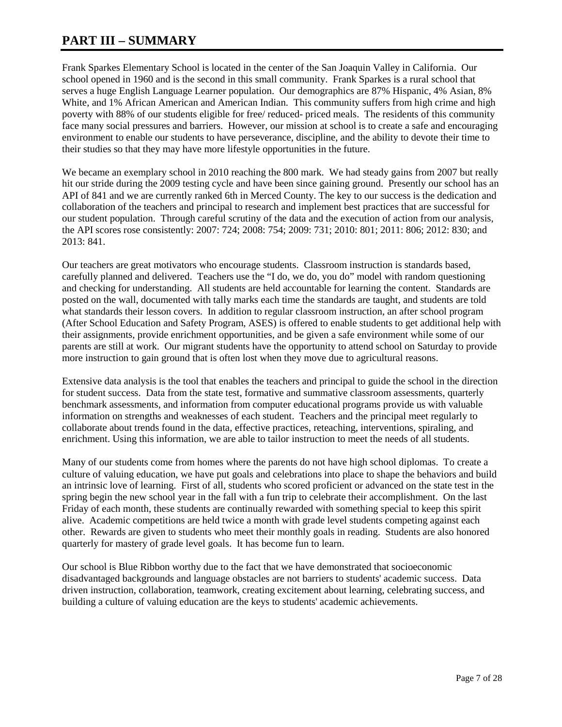### **PART III – SUMMARY**

Frank Sparkes Elementary School is located in the center of the San Joaquin Valley in California. Our school opened in 1960 and is the second in this small community. Frank Sparkes is a rural school that serves a huge English Language Learner population. Our demographics are 87% Hispanic, 4% Asian, 8% White, and 1% African American and American Indian. This community suffers from high crime and high poverty with 88% of our students eligible for free/ reduced- priced meals. The residents of this community face many social pressures and barriers. However, our mission at school is to create a safe and encouraging environment to enable our students to have perseverance, discipline, and the ability to devote their time to their studies so that they may have more lifestyle opportunities in the future.

We became an exemplary school in 2010 reaching the 800 mark. We had steady gains from 2007 but really hit our stride during the 2009 testing cycle and have been since gaining ground. Presently our school has an API of 841 and we are currently ranked 6th in Merced County. The key to our success is the dedication and collaboration of the teachers and principal to research and implement best practices that are successful for our student population. Through careful scrutiny of the data and the execution of action from our analysis, the API scores rose consistently: 2007: 724; 2008: 754; 2009: 731; 2010: 801; 2011: 806; 2012: 830; and 2013: 841.

Our teachers are great motivators who encourage students. Classroom instruction is standards based, carefully planned and delivered. Teachers use the "I do, we do, you do" model with random questioning and checking for understanding. All students are held accountable for learning the content. Standards are posted on the wall, documented with tally marks each time the standards are taught, and students are told what standards their lesson covers. In addition to regular classroom instruction, an after school program (After School Education and Safety Program, ASES) is offered to enable students to get additional help with their assignments, provide enrichment opportunities, and be given a safe environment while some of our parents are still at work. Our migrant students have the opportunity to attend school on Saturday to provide more instruction to gain ground that is often lost when they move due to agricultural reasons.

Extensive data analysis is the tool that enables the teachers and principal to guide the school in the direction for student success. Data from the state test, formative and summative classroom assessments, quarterly benchmark assessments, and information from computer educational programs provide us with valuable information on strengths and weaknesses of each student. Teachers and the principal meet regularly to collaborate about trends found in the data, effective practices, reteaching, interventions, spiraling, and enrichment. Using this information, we are able to tailor instruction to meet the needs of all students.

Many of our students come from homes where the parents do not have high school diplomas. To create a culture of valuing education, we have put goals and celebrations into place to shape the behaviors and build an intrinsic love of learning. First of all, students who scored proficient or advanced on the state test in the spring begin the new school year in the fall with a fun trip to celebrate their accomplishment. On the last Friday of each month, these students are continually rewarded with something special to keep this spirit alive. Academic competitions are held twice a month with grade level students competing against each other. Rewards are given to students who meet their monthly goals in reading. Students are also honored quarterly for mastery of grade level goals. It has become fun to learn.

Our school is Blue Ribbon worthy due to the fact that we have demonstrated that socioeconomic disadvantaged backgrounds and language obstacles are not barriers to students' academic success. Data driven instruction, collaboration, teamwork, creating excitement about learning, celebrating success, and building a culture of valuing education are the keys to students' academic achievements.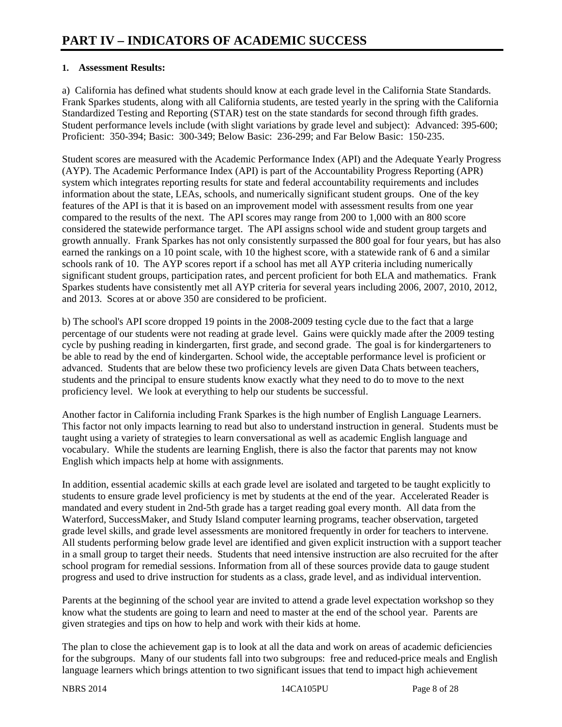#### **1. Assessment Results:**

a) California has defined what students should know at each grade level in the California State Standards. Frank Sparkes students, along with all California students, are tested yearly in the spring with the California Standardized Testing and Reporting (STAR) test on the state standards for second through fifth grades. Student performance levels include (with slight variations by grade level and subject): Advanced: 395-600; Proficient: 350-394; Basic: 300-349; Below Basic: 236-299; and Far Below Basic: 150-235.

Student scores are measured with the Academic Performance Index (API) and the Adequate Yearly Progress (AYP). The Academic Performance Index (API) is part of the Accountability Progress Reporting (APR) system which integrates reporting results for state and federal accountability requirements and includes information about the state, LEAs, schools, and numerically significant student groups. One of the key features of the API is that it is based on an improvement model with assessment results from one year compared to the results of the next. The API scores may range from 200 to 1,000 with an 800 score considered the statewide performance target. The API assigns school wide and student group targets and growth annually. Frank Sparkes has not only consistently surpassed the 800 goal for four years, but has also earned the rankings on a 10 point scale, with 10 the highest score, with a statewide rank of 6 and a similar schools rank of 10. The AYP scores report if a school has met all AYP criteria including numerically significant student groups, participation rates, and percent proficient for both ELA and mathematics. Frank Sparkes students have consistently met all AYP criteria for several years including 2006, 2007, 2010, 2012, and 2013. Scores at or above 350 are considered to be proficient.

b) The school's API score dropped 19 points in the 2008-2009 testing cycle due to the fact that a large percentage of our students were not reading at grade level. Gains were quickly made after the 2009 testing cycle by pushing reading in kindergarten, first grade, and second grade. The goal is for kindergarteners to be able to read by the end of kindergarten. School wide, the acceptable performance level is proficient or advanced. Students that are below these two proficiency levels are given Data Chats between teachers, students and the principal to ensure students know exactly what they need to do to move to the next proficiency level. We look at everything to help our students be successful.

Another factor in California including Frank Sparkes is the high number of English Language Learners. This factor not only impacts learning to read but also to understand instruction in general. Students must be taught using a variety of strategies to learn conversational as well as academic English language and vocabulary. While the students are learning English, there is also the factor that parents may not know English which impacts help at home with assignments.

In addition, essential academic skills at each grade level are isolated and targeted to be taught explicitly to students to ensure grade level proficiency is met by students at the end of the year. Accelerated Reader is mandated and every student in 2nd-5th grade has a target reading goal every month. All data from the Waterford, SuccessMaker, and Study Island computer learning programs, teacher observation, targeted grade level skills, and grade level assessments are monitored frequently in order for teachers to intervene. All students performing below grade level are identified and given explicit instruction with a support teacher in a small group to target their needs. Students that need intensive instruction are also recruited for the after school program for remedial sessions. Information from all of these sources provide data to gauge student progress and used to drive instruction for students as a class, grade level, and as individual intervention.

Parents at the beginning of the school year are invited to attend a grade level expectation workshop so they know what the students are going to learn and need to master at the end of the school year. Parents are given strategies and tips on how to help and work with their kids at home.

The plan to close the achievement gap is to look at all the data and work on areas of academic deficiencies for the subgroups. Many of our students fall into two subgroups: free and reduced-price meals and English language learners which brings attention to two significant issues that tend to impact high achievement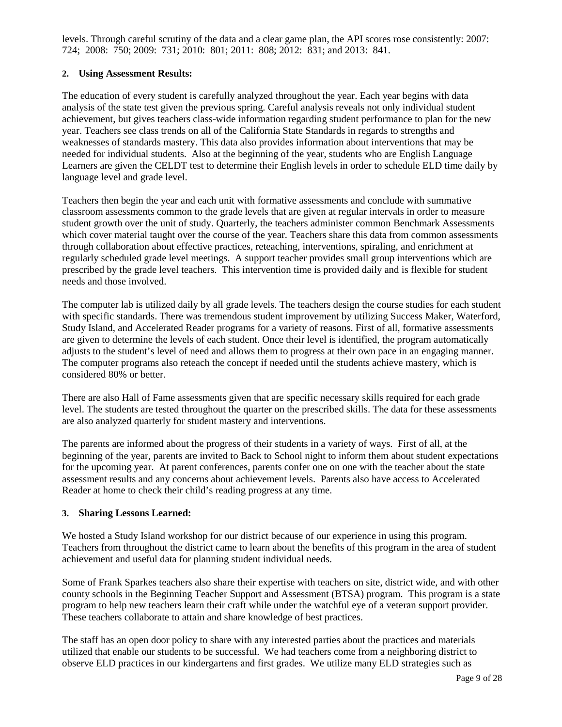levels. Through careful scrutiny of the data and a clear game plan, the API scores rose consistently: 2007: 724; 2008: 750; 2009: 731; 2010: 801; 2011: 808; 2012: 831; and 2013: 841.

#### **2. Using Assessment Results:**

The education of every student is carefully analyzed throughout the year. Each year begins with data analysis of the state test given the previous spring. Careful analysis reveals not only individual student achievement, but gives teachers class-wide information regarding student performance to plan for the new year. Teachers see class trends on all of the California State Standards in regards to strengths and weaknesses of standards mastery. This data also provides information about interventions that may be needed for individual students. Also at the beginning of the year, students who are English Language Learners are given the CELDT test to determine their English levels in order to schedule ELD time daily by language level and grade level.

Teachers then begin the year and each unit with formative assessments and conclude with summative classroom assessments common to the grade levels that are given at regular intervals in order to measure student growth over the unit of study. Quarterly, the teachers administer common Benchmark Assessments which cover material taught over the course of the year. Teachers share this data from common assessments through collaboration about effective practices, reteaching, interventions, spiraling, and enrichment at regularly scheduled grade level meetings. A support teacher provides small group interventions which are prescribed by the grade level teachers. This intervention time is provided daily and is flexible for student needs and those involved.

The computer lab is utilized daily by all grade levels. The teachers design the course studies for each student with specific standards. There was tremendous student improvement by utilizing Success Maker, Waterford, Study Island, and Accelerated Reader programs for a variety of reasons. First of all, formative assessments are given to determine the levels of each student. Once their level is identified, the program automatically adjusts to the student's level of need and allows them to progress at their own pace in an engaging manner. The computer programs also reteach the concept if needed until the students achieve mastery, which is considered 80% or better.

There are also Hall of Fame assessments given that are specific necessary skills required for each grade level. The students are tested throughout the quarter on the prescribed skills. The data for these assessments are also analyzed quarterly for student mastery and interventions.

The parents are informed about the progress of their students in a variety of ways. First of all, at the beginning of the year, parents are invited to Back to School night to inform them about student expectations for the upcoming year. At parent conferences, parents confer one on one with the teacher about the state assessment results and any concerns about achievement levels. Parents also have access to Accelerated Reader at home to check their child's reading progress at any time.

#### **3. Sharing Lessons Learned:**

We hosted a Study Island workshop for our district because of our experience in using this program. Teachers from throughout the district came to learn about the benefits of this program in the area of student achievement and useful data for planning student individual needs.

Some of Frank Sparkes teachers also share their expertise with teachers on site, district wide, and with other county schools in the Beginning Teacher Support and Assessment (BTSA) program. This program is a state program to help new teachers learn their craft while under the watchful eye of a veteran support provider. These teachers collaborate to attain and share knowledge of best practices.

The staff has an open door policy to share with any interested parties about the practices and materials utilized that enable our students to be successful. We had teachers come from a neighboring district to observe ELD practices in our kindergartens and first grades. We utilize many ELD strategies such as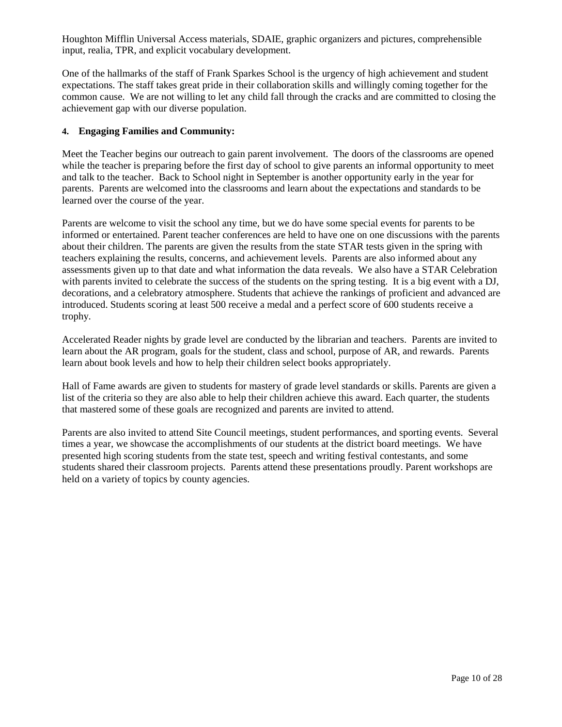Houghton Mifflin Universal Access materials, SDAIE, graphic organizers and pictures, comprehensible input, realia, TPR, and explicit vocabulary development.

One of the hallmarks of the staff of Frank Sparkes School is the urgency of high achievement and student expectations. The staff takes great pride in their collaboration skills and willingly coming together for the common cause. We are not willing to let any child fall through the cracks and are committed to closing the achievement gap with our diverse population.

#### **4. Engaging Families and Community:**

Meet the Teacher begins our outreach to gain parent involvement. The doors of the classrooms are opened while the teacher is preparing before the first day of school to give parents an informal opportunity to meet and talk to the teacher. Back to School night in September is another opportunity early in the year for parents. Parents are welcomed into the classrooms and learn about the expectations and standards to be learned over the course of the year.

Parents are welcome to visit the school any time, but we do have some special events for parents to be informed or entertained. Parent teacher conferences are held to have one on one discussions with the parents about their children. The parents are given the results from the state STAR tests given in the spring with teachers explaining the results, concerns, and achievement levels. Parents are also informed about any assessments given up to that date and what information the data reveals. We also have a STAR Celebration with parents invited to celebrate the success of the students on the spring testing. It is a big event with a DJ, decorations, and a celebratory atmosphere. Students that achieve the rankings of proficient and advanced are introduced. Students scoring at least 500 receive a medal and a perfect score of 600 students receive a trophy.

Accelerated Reader nights by grade level are conducted by the librarian and teachers. Parents are invited to learn about the AR program, goals for the student, class and school, purpose of AR, and rewards. Parents learn about book levels and how to help their children select books appropriately.

Hall of Fame awards are given to students for mastery of grade level standards or skills. Parents are given a list of the criteria so they are also able to help their children achieve this award. Each quarter, the students that mastered some of these goals are recognized and parents are invited to attend.

Parents are also invited to attend Site Council meetings, student performances, and sporting events. Several times a year, we showcase the accomplishments of our students at the district board meetings. We have presented high scoring students from the state test, speech and writing festival contestants, and some students shared their classroom projects. Parents attend these presentations proudly. Parent workshops are held on a variety of topics by county agencies.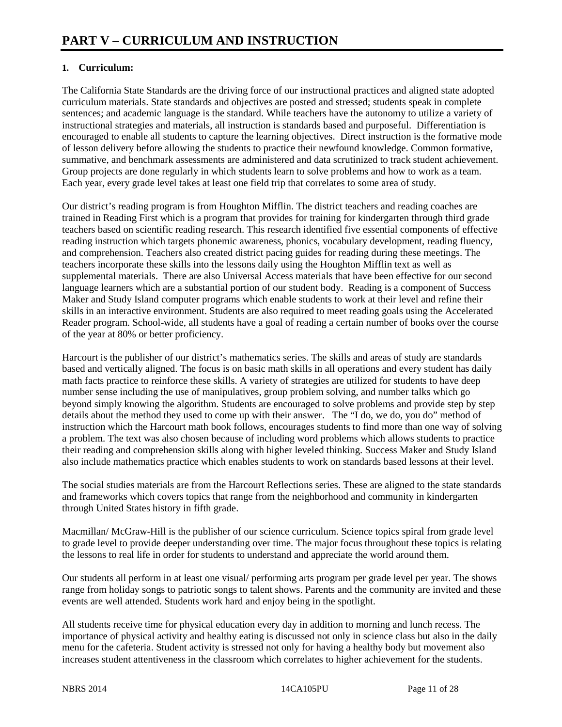#### **1. Curriculum:**

The California State Standards are the driving force of our instructional practices and aligned state adopted curriculum materials. State standards and objectives are posted and stressed; students speak in complete sentences; and academic language is the standard. While teachers have the autonomy to utilize a variety of instructional strategies and materials, all instruction is standards based and purposeful. Differentiation is encouraged to enable all students to capture the learning objectives. Direct instruction is the formative mode of lesson delivery before allowing the students to practice their newfound knowledge. Common formative, summative, and benchmark assessments are administered and data scrutinized to track student achievement. Group projects are done regularly in which students learn to solve problems and how to work as a team. Each year, every grade level takes at least one field trip that correlates to some area of study.

Our district's reading program is from Houghton Mifflin. The district teachers and reading coaches are trained in Reading First which is a program that provides for training for kindergarten through third grade teachers based on scientific reading research. This research identified five essential components of effective reading instruction which targets phonemic awareness, phonics, vocabulary development, reading fluency, and comprehension. Teachers also created district pacing guides for reading during these meetings. The teachers incorporate these skills into the lessons daily using the Houghton Mifflin text as well as supplemental materials. There are also Universal Access materials that have been effective for our second language learners which are a substantial portion of our student body. Reading is a component of Success Maker and Study Island computer programs which enable students to work at their level and refine their skills in an interactive environment. Students are also required to meet reading goals using the Accelerated Reader program. School-wide, all students have a goal of reading a certain number of books over the course of the year at 80% or better proficiency.

Harcourt is the publisher of our district's mathematics series. The skills and areas of study are standards based and vertically aligned. The focus is on basic math skills in all operations and every student has daily math facts practice to reinforce these skills. A variety of strategies are utilized for students to have deep number sense including the use of manipulatives, group problem solving, and number talks which go beyond simply knowing the algorithm. Students are encouraged to solve problems and provide step by step details about the method they used to come up with their answer. The "I do, we do, you do" method of instruction which the Harcourt math book follows, encourages students to find more than one way of solving a problem. The text was also chosen because of including word problems which allows students to practice their reading and comprehension skills along with higher leveled thinking. Success Maker and Study Island also include mathematics practice which enables students to work on standards based lessons at their level.

The social studies materials are from the Harcourt Reflections series. These are aligned to the state standards and frameworks which covers topics that range from the neighborhood and community in kindergarten through United States history in fifth grade.

Macmillan/ McGraw-Hill is the publisher of our science curriculum. Science topics spiral from grade level to grade level to provide deeper understanding over time. The major focus throughout these topics is relating the lessons to real life in order for students to understand and appreciate the world around them.

Our students all perform in at least one visual/ performing arts program per grade level per year. The shows range from holiday songs to patriotic songs to talent shows. Parents and the community are invited and these events are well attended. Students work hard and enjoy being in the spotlight.

All students receive time for physical education every day in addition to morning and lunch recess. The importance of physical activity and healthy eating is discussed not only in science class but also in the daily menu for the cafeteria. Student activity is stressed not only for having a healthy body but movement also increases student attentiveness in the classroom which correlates to higher achievement for the students.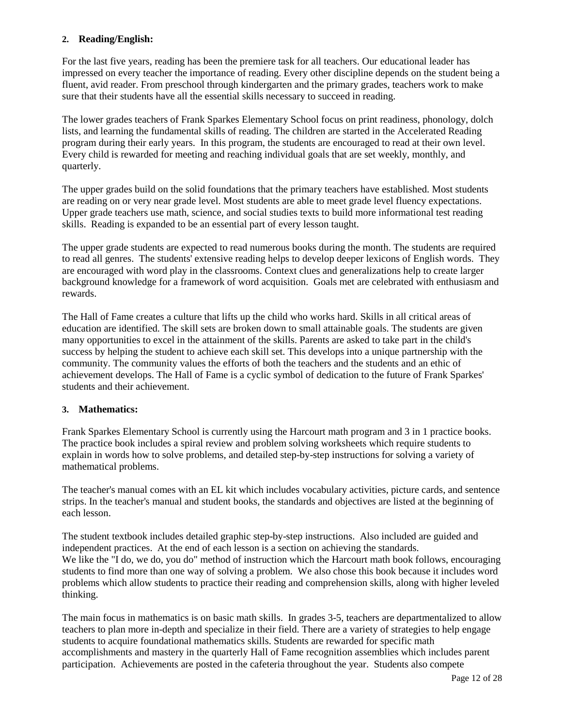#### **2. Reading/English:**

For the last five years, reading has been the premiere task for all teachers. Our educational leader has impressed on every teacher the importance of reading. Every other discipline depends on the student being a fluent, avid reader. From preschool through kindergarten and the primary grades, teachers work to make sure that their students have all the essential skills necessary to succeed in reading.

The lower grades teachers of Frank Sparkes Elementary School focus on print readiness, phonology, dolch lists, and learning the fundamental skills of reading. The children are started in the Accelerated Reading program during their early years. In this program, the students are encouraged to read at their own level. Every child is rewarded for meeting and reaching individual goals that are set weekly, monthly, and quarterly.

The upper grades build on the solid foundations that the primary teachers have established. Most students are reading on or very near grade level. Most students are able to meet grade level fluency expectations. Upper grade teachers use math, science, and social studies texts to build more informational test reading skills. Reading is expanded to be an essential part of every lesson taught.

The upper grade students are expected to read numerous books during the month. The students are required to read all genres. The students' extensive reading helps to develop deeper lexicons of English words. They are encouraged with word play in the classrooms. Context clues and generalizations help to create larger background knowledge for a framework of word acquisition. Goals met are celebrated with enthusiasm and rewards.

The Hall of Fame creates a culture that lifts up the child who works hard. Skills in all critical areas of education are identified. The skill sets are broken down to small attainable goals. The students are given many opportunities to excel in the attainment of the skills. Parents are asked to take part in the child's success by helping the student to achieve each skill set. This develops into a unique partnership with the community. The community values the efforts of both the teachers and the students and an ethic of achievement develops. The Hall of Fame is a cyclic symbol of dedication to the future of Frank Sparkes' students and their achievement.

#### **3. Mathematics:**

Frank Sparkes Elementary School is currently using the Harcourt math program and 3 in 1 practice books. The practice book includes a spiral review and problem solving worksheets which require students to explain in words how to solve problems, and detailed step-by-step instructions for solving a variety of mathematical problems.

The teacher's manual comes with an EL kit which includes vocabulary activities, picture cards, and sentence strips. In the teacher's manual and student books, the standards and objectives are listed at the beginning of each lesson.

The student textbook includes detailed graphic step-by-step instructions. Also included are guided and independent practices. At the end of each lesson is a section on achieving the standards. We like the "I do, we do, you do" method of instruction which the Harcourt math book follows, encouraging students to find more than one way of solving a problem. We also chose this book because it includes word problems which allow students to practice their reading and comprehension skills, along with higher leveled thinking.

The main focus in mathematics is on basic math skills. In grades 3-5, teachers are departmentalized to allow teachers to plan more in-depth and specialize in their field. There are a variety of strategies to help engage students to acquire foundational mathematics skills. Students are rewarded for specific math accomplishments and mastery in the quarterly Hall of Fame recognition assemblies which includes parent participation. Achievements are posted in the cafeteria throughout the year. Students also compete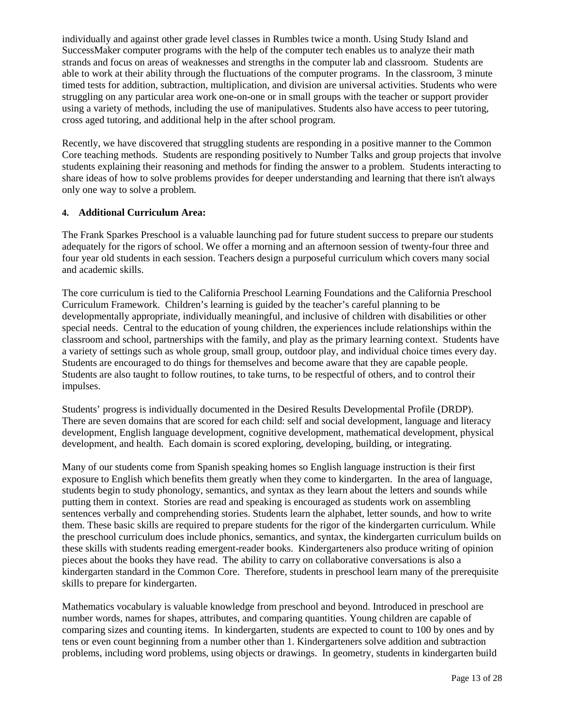individually and against other grade level classes in Rumbles twice a month. Using Study Island and SuccessMaker computer programs with the help of the computer tech enables us to analyze their math strands and focus on areas of weaknesses and strengths in the computer lab and classroom. Students are able to work at their ability through the fluctuations of the computer programs. In the classroom, 3 minute timed tests for addition, subtraction, multiplication, and division are universal activities. Students who were struggling on any particular area work one-on-one or in small groups with the teacher or support provider using a variety of methods, including the use of manipulatives. Students also have access to peer tutoring, cross aged tutoring, and additional help in the after school program.

Recently, we have discovered that struggling students are responding in a positive manner to the Common Core teaching methods. Students are responding positively to Number Talks and group projects that involve students explaining their reasoning and methods for finding the answer to a problem. Students interacting to share ideas of how to solve problems provides for deeper understanding and learning that there isn't always only one way to solve a problem.

#### **4. Additional Curriculum Area:**

The Frank Sparkes Preschool is a valuable launching pad for future student success to prepare our students adequately for the rigors of school. We offer a morning and an afternoon session of twenty-four three and four year old students in each session. Teachers design a purposeful curriculum which covers many social and academic skills.

The core curriculum is tied to the California Preschool Learning Foundations and the California Preschool Curriculum Framework. Children's learning is guided by the teacher's careful planning to be developmentally appropriate, individually meaningful, and inclusive of children with disabilities or other special needs. Central to the education of young children, the experiences include relationships within the classroom and school, partnerships with the family, and play as the primary learning context. Students have a variety of settings such as whole group, small group, outdoor play, and individual choice times every day. Students are encouraged to do things for themselves and become aware that they are capable people. Students are also taught to follow routines, to take turns, to be respectful of others, and to control their impulses.

Students' progress is individually documented in the Desired Results Developmental Profile (DRDP). There are seven domains that are scored for each child: self and social development, language and literacy development, English language development, cognitive development, mathematical development, physical development, and health. Each domain is scored exploring, developing, building, or integrating.

Many of our students come from Spanish speaking homes so English language instruction is their first exposure to English which benefits them greatly when they come to kindergarten. In the area of language, students begin to study phonology, semantics, and syntax as they learn about the letters and sounds while putting them in context. Stories are read and speaking is encouraged as students work on assembling sentences verbally and comprehending stories. Students learn the alphabet, letter sounds, and how to write them. These basic skills are required to prepare students for the rigor of the kindergarten curriculum. While the preschool curriculum does include phonics, semantics, and syntax, the kindergarten curriculum builds on these skills with students reading emergent-reader books. Kindergarteners also produce writing of opinion pieces about the books they have read. The ability to carry on collaborative conversations is also a kindergarten standard in the Common Core. Therefore, students in preschool learn many of the prerequisite skills to prepare for kindergarten.

Mathematics vocabulary is valuable knowledge from preschool and beyond. Introduced in preschool are number words, names for shapes, attributes, and comparing quantities. Young children are capable of comparing sizes and counting items. In kindergarten, students are expected to count to 100 by ones and by tens or even count beginning from a number other than 1. Kindergarteners solve addition and subtraction problems, including word problems, using objects or drawings. In geometry, students in kindergarten build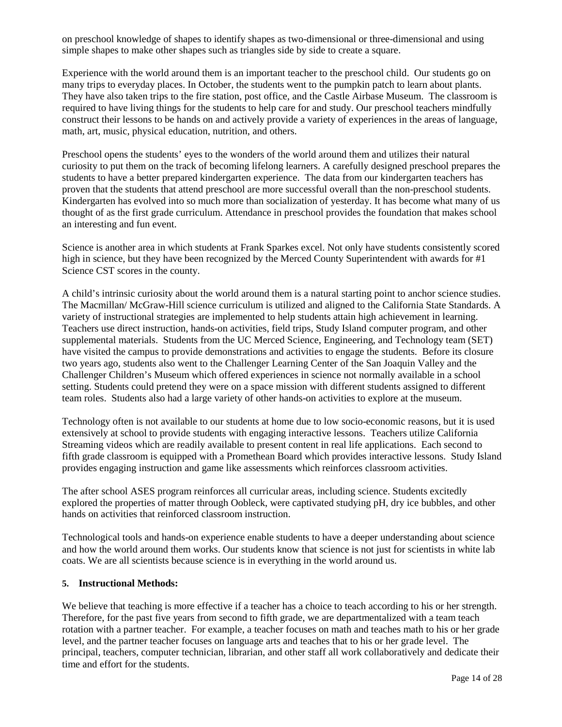on preschool knowledge of shapes to identify shapes as two-dimensional or three-dimensional and using simple shapes to make other shapes such as triangles side by side to create a square.

Experience with the world around them is an important teacher to the preschool child. Our students go on many trips to everyday places. In October, the students went to the pumpkin patch to learn about plants. They have also taken trips to the fire station, post office, and the Castle Airbase Museum. The classroom is required to have living things for the students to help care for and study. Our preschool teachers mindfully construct their lessons to be hands on and actively provide a variety of experiences in the areas of language, math, art, music, physical education, nutrition, and others.

Preschool opens the students' eyes to the wonders of the world around them and utilizes their natural curiosity to put them on the track of becoming lifelong learners. A carefully designed preschool prepares the students to have a better prepared kindergarten experience. The data from our kindergarten teachers has proven that the students that attend preschool are more successful overall than the non-preschool students. Kindergarten has evolved into so much more than socialization of yesterday. It has become what many of us thought of as the first grade curriculum. Attendance in preschool provides the foundation that makes school an interesting and fun event.

Science is another area in which students at Frank Sparkes excel. Not only have students consistently scored high in science, but they have been recognized by the Merced County Superintendent with awards for #1 Science CST scores in the county.

A child's intrinsic curiosity about the world around them is a natural starting point to anchor science studies. The Macmillan/ McGraw-Hill science curriculum is utilized and aligned to the California State Standards. A variety of instructional strategies are implemented to help students attain high achievement in learning. Teachers use direct instruction, hands-on activities, field trips, Study Island computer program, and other supplemental materials. Students from the UC Merced Science, Engineering, and Technology team (SET) have visited the campus to provide demonstrations and activities to engage the students. Before its closure two years ago, students also went to the Challenger Learning Center of the San Joaquin Valley and the Challenger Children's Museum which offered experiences in science not normally available in a school setting. Students could pretend they were on a space mission with different students assigned to different team roles. Students also had a large variety of other hands-on activities to explore at the museum.

Technology often is not available to our students at home due to low socio-economic reasons, but it is used extensively at school to provide students with engaging interactive lessons. Teachers utilize California Streaming videos which are readily available to present content in real life applications. Each second to fifth grade classroom is equipped with a Promethean Board which provides interactive lessons. Study Island provides engaging instruction and game like assessments which reinforces classroom activities.

The after school ASES program reinforces all curricular areas, including science. Students excitedly explored the properties of matter through Oobleck, were captivated studying pH, dry ice bubbles, and other hands on activities that reinforced classroom instruction.

Technological tools and hands-on experience enable students to have a deeper understanding about science and how the world around them works. Our students know that science is not just for scientists in white lab coats. We are all scientists because science is in everything in the world around us.

#### **5. Instructional Methods:**

We believe that teaching is more effective if a teacher has a choice to teach according to his or her strength. Therefore, for the past five years from second to fifth grade, we are departmentalized with a team teach rotation with a partner teacher. For example, a teacher focuses on math and teaches math to his or her grade level, and the partner teacher focuses on language arts and teaches that to his or her grade level. The principal, teachers, computer technician, librarian, and other staff all work collaboratively and dedicate their time and effort for the students.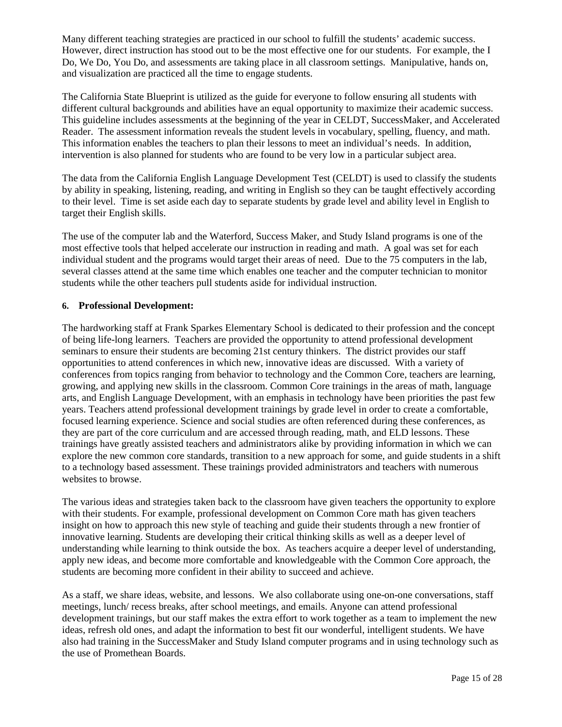Many different teaching strategies are practiced in our school to fulfill the students' academic success. However, direct instruction has stood out to be the most effective one for our students. For example, the I Do, We Do, You Do, and assessments are taking place in all classroom settings. Manipulative, hands on, and visualization are practiced all the time to engage students.

The California State Blueprint is utilized as the guide for everyone to follow ensuring all students with different cultural backgrounds and abilities have an equal opportunity to maximize their academic success. This guideline includes assessments at the beginning of the year in CELDT, SuccessMaker, and Accelerated Reader. The assessment information reveals the student levels in vocabulary, spelling, fluency, and math. This information enables the teachers to plan their lessons to meet an individual's needs. In addition, intervention is also planned for students who are found to be very low in a particular subject area.

The data from the California English Language Development Test (CELDT) is used to classify the students by ability in speaking, listening, reading, and writing in English so they can be taught effectively according to their level. Time is set aside each day to separate students by grade level and ability level in English to target their English skills.

The use of the computer lab and the Waterford, Success Maker, and Study Island programs is one of the most effective tools that helped accelerate our instruction in reading and math. A goal was set for each individual student and the programs would target their areas of need. Due to the 75 computers in the lab, several classes attend at the same time which enables one teacher and the computer technician to monitor students while the other teachers pull students aside for individual instruction.

#### **6. Professional Development:**

The hardworking staff at Frank Sparkes Elementary School is dedicated to their profession and the concept of being life-long learners. Teachers are provided the opportunity to attend professional development seminars to ensure their students are becoming 21st century thinkers. The district provides our staff opportunities to attend conferences in which new, innovative ideas are discussed. With a variety of conferences from topics ranging from behavior to technology and the Common Core, teachers are learning, growing, and applying new skills in the classroom. Common Core trainings in the areas of math, language arts, and English Language Development, with an emphasis in technology have been priorities the past few years. Teachers attend professional development trainings by grade level in order to create a comfortable, focused learning experience. Science and social studies are often referenced during these conferences, as they are part of the core curriculum and are accessed through reading, math, and ELD lessons. These trainings have greatly assisted teachers and administrators alike by providing information in which we can explore the new common core standards, transition to a new approach for some, and guide students in a shift to a technology based assessment. These trainings provided administrators and teachers with numerous websites to browse.

The various ideas and strategies taken back to the classroom have given teachers the opportunity to explore with their students. For example, professional development on Common Core math has given teachers insight on how to approach this new style of teaching and guide their students through a new frontier of innovative learning. Students are developing their critical thinking skills as well as a deeper level of understanding while learning to think outside the box. As teachers acquire a deeper level of understanding, apply new ideas, and become more comfortable and knowledgeable with the Common Core approach, the students are becoming more confident in their ability to succeed and achieve.

As a staff, we share ideas, website, and lessons. We also collaborate using one-on-one conversations, staff meetings, lunch/ recess breaks, after school meetings, and emails. Anyone can attend professional development trainings, but our staff makes the extra effort to work together as a team to implement the new ideas, refresh old ones, and adapt the information to best fit our wonderful, intelligent students. We have also had training in the SuccessMaker and Study Island computer programs and in using technology such as the use of Promethean Boards.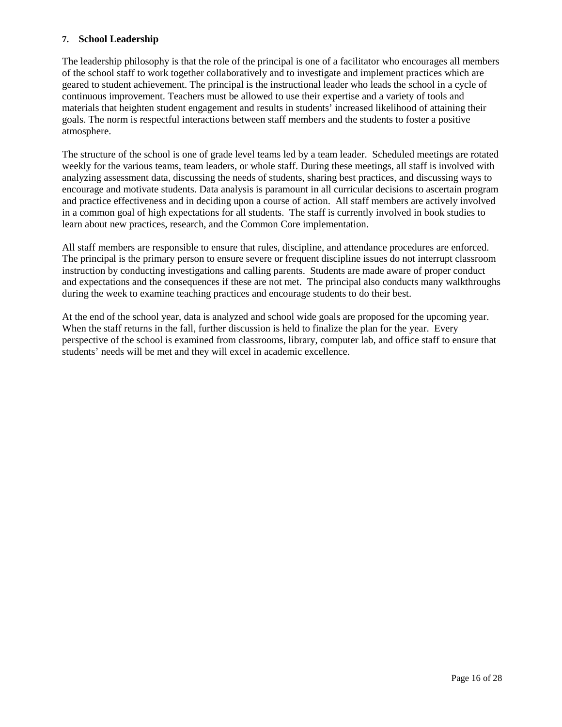#### **7. School Leadership**

The leadership philosophy is that the role of the principal is one of a facilitator who encourages all members of the school staff to work together collaboratively and to investigate and implement practices which are geared to student achievement. The principal is the instructional leader who leads the school in a cycle of continuous improvement. Teachers must be allowed to use their expertise and a variety of tools and materials that heighten student engagement and results in students' increased likelihood of attaining their goals. The norm is respectful interactions between staff members and the students to foster a positive atmosphere.

The structure of the school is one of grade level teams led by a team leader. Scheduled meetings are rotated weekly for the various teams, team leaders, or whole staff. During these meetings, all staff is involved with analyzing assessment data, discussing the needs of students, sharing best practices, and discussing ways to encourage and motivate students. Data analysis is paramount in all curricular decisions to ascertain program and practice effectiveness and in deciding upon a course of action. All staff members are actively involved in a common goal of high expectations for all students. The staff is currently involved in book studies to learn about new practices, research, and the Common Core implementation.

All staff members are responsible to ensure that rules, discipline, and attendance procedures are enforced. The principal is the primary person to ensure severe or frequent discipline issues do not interrupt classroom instruction by conducting investigations and calling parents. Students are made aware of proper conduct and expectations and the consequences if these are not met. The principal also conducts many walkthroughs during the week to examine teaching practices and encourage students to do their best.

At the end of the school year, data is analyzed and school wide goals are proposed for the upcoming year. When the staff returns in the fall, further discussion is held to finalize the plan for the year. Every perspective of the school is examined from classrooms, library, computer lab, and office staff to ensure that students' needs will be met and they will excel in academic excellence.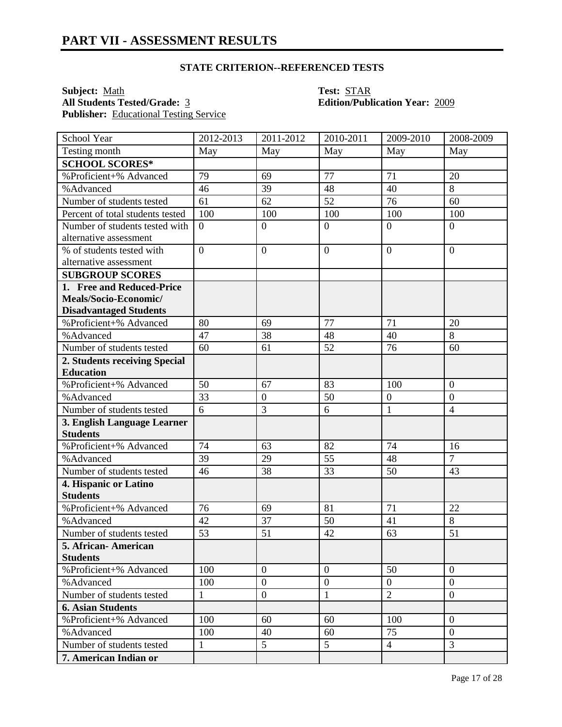**Subject:** <u>Math</u><br> **All Students Tested/Grade:** <u>3</u> **Test: STAR**<br> **Edition/Publ** Publisher: Educational Testing Service

# **All Students Tested/Grade:** 3 **Edition/Publication Year:** 2009

| School Year                      | 2012-2013      | 2011-2012        | 2010-2011        | 2009-2010        | 2008-2009      |
|----------------------------------|----------------|------------------|------------------|------------------|----------------|
| Testing month                    | May            | May              | May              | May              | May            |
| <b>SCHOOL SCORES*</b>            |                |                  |                  |                  |                |
| %Proficient+% Advanced           | 79             | 69               | 77               | 71               | 20             |
| %Advanced                        | 46             | 39               | 48               | 40               | 8              |
| Number of students tested        | 61             | 62               | 52               | 76               | 60             |
| Percent of total students tested | 100            | 100              | 100              | 100              | 100            |
| Number of students tested with   | $\overline{0}$ | $\overline{0}$   | $\overline{0}$   | $\overline{0}$   | $\overline{0}$ |
| alternative assessment           |                |                  |                  |                  |                |
| % of students tested with        | $\overline{0}$ | $\overline{0}$   | $\boldsymbol{0}$ | $\overline{0}$   | $\overline{0}$ |
| alternative assessment           |                |                  |                  |                  |                |
| <b>SUBGROUP SCORES</b>           |                |                  |                  |                  |                |
| 1. Free and Reduced-Price        |                |                  |                  |                  |                |
| Meals/Socio-Economic/            |                |                  |                  |                  |                |
| <b>Disadvantaged Students</b>    |                |                  |                  |                  |                |
| %Proficient+% Advanced           | 80             | 69               | 77               | 71               | 20             |
| %Advanced                        | 47             | 38               | 48               | 40               | 8              |
| Number of students tested        | 60             | 61               | 52               | 76               | 60             |
| 2. Students receiving Special    |                |                  |                  |                  |                |
| <b>Education</b>                 |                |                  |                  |                  |                |
| %Proficient+% Advanced           | 50             | 67               | 83               | 100              | $\overline{0}$ |
| %Advanced                        | 33             | $\boldsymbol{0}$ | 50               | $\boldsymbol{0}$ | $\overline{0}$ |
| Number of students tested        | 6              | 3                | 6                | $\mathbf{1}$     | $\overline{4}$ |
| 3. English Language Learner      |                |                  |                  |                  |                |
| <b>Students</b>                  |                |                  |                  |                  |                |
| %Proficient+% Advanced           | 74             | 63               | 82               | 74               | 16             |
| %Advanced                        | 39             | 29               | 55               | 48               | $\overline{7}$ |
| Number of students tested        | 46             | 38               | 33               | 50               | 43             |
| 4. Hispanic or Latino            |                |                  |                  |                  |                |
| <b>Students</b>                  |                |                  |                  |                  |                |
| %Proficient+% Advanced           | 76             | 69               | 81               | 71               | 22             |
| %Advanced                        | 42             | 37               | 50               | 41               | 8              |
| Number of students tested        | 53             | 51               | 42               | 63               | 51             |
| 5. African-American              |                |                  |                  |                  |                |
| <b>Students</b>                  |                |                  |                  |                  |                |
| %Proficient+% Advanced           | 100            | $\boldsymbol{0}$ | $\overline{0}$   | 50               | $\overline{0}$ |
| %Advanced                        | 100            | $\mathbf{0}$     | $\boldsymbol{0}$ | $\mathbf{0}$     | $\overline{0}$ |
| Number of students tested        | $\mathbf{1}$   | $\mathbf{0}$     | $\mathbf{1}$     | $\overline{2}$   | $\overline{0}$ |
| <b>6. Asian Students</b>         |                |                  |                  |                  |                |
| %Proficient+% Advanced           | 100            | 60               | 60               | 100              | $\overline{0}$ |
| %Advanced                        | 100            | 40               | 60               | 75               | $\overline{0}$ |
| Number of students tested        | $\mathbf{1}$   | 5                | $5\overline{)}$  | $\overline{4}$   | 3              |
| 7. American Indian or            |                |                  |                  |                  |                |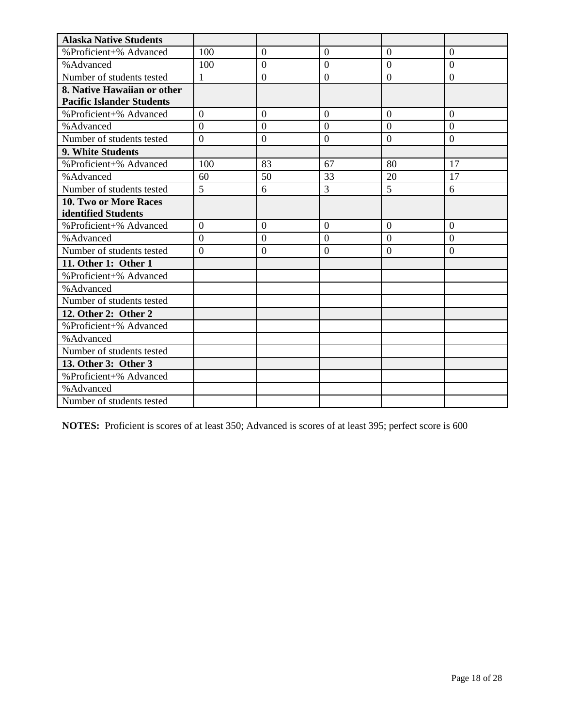| <b>Alaska Native Students</b>    |                |                  |                  |                |                  |
|----------------------------------|----------------|------------------|------------------|----------------|------------------|
| %Proficient+% Advanced           | 100            | $\boldsymbol{0}$ | $\overline{0}$   | $\mathbf{0}$   | $\mathbf{0}$     |
| %Advanced                        | 100            | $\overline{0}$   | $\overline{0}$   | $\overline{0}$ | $\overline{0}$   |
| Number of students tested        | $\mathbf{1}$   | $\boldsymbol{0}$ | $\overline{0}$   | $\theta$       | $\boldsymbol{0}$ |
| 8. Native Hawaiian or other      |                |                  |                  |                |                  |
| <b>Pacific Islander Students</b> |                |                  |                  |                |                  |
| %Proficient+% Advanced           | $\overline{0}$ | $\overline{0}$   | $\overline{0}$   | $\overline{0}$ | $\overline{0}$   |
| %Advanced                        | $\theta$       | $\Omega$         | $\overline{0}$   | $\Omega$       | $\Omega$         |
| Number of students tested        | $\overline{0}$ | $\boldsymbol{0}$ | $\boldsymbol{0}$ | $\overline{0}$ | $\overline{0}$   |
| 9. White Students                |                |                  |                  |                |                  |
| %Proficient+% Advanced           | 100            | 83               | 67               | 80             | 17               |
| %Advanced                        | 60             | 50               | 33               | 20             | 17               |
| Number of students tested        | 5              | 6                | 3                | 5              | 6                |
| 10. Two or More Races            |                |                  |                  |                |                  |
| identified Students              |                |                  |                  |                |                  |
| %Proficient+% Advanced           | $\overline{0}$ | $\theta$         | $\overline{0}$   | $\overline{0}$ | $\overline{0}$   |
| % Advanced                       | $\overline{0}$ | $\boldsymbol{0}$ | $\overline{0}$   | $\theta$       | $\overline{0}$   |
| Number of students tested        | $\Omega$       | $\overline{0}$   | $\overline{0}$   | $\Omega$       | $\Omega$         |
| 11. Other 1: Other 1             |                |                  |                  |                |                  |
| %Proficient+% Advanced           |                |                  |                  |                |                  |
| %Advanced                        |                |                  |                  |                |                  |
| Number of students tested        |                |                  |                  |                |                  |
| 12. Other 2: Other 2             |                |                  |                  |                |                  |
| %Proficient+% Advanced           |                |                  |                  |                |                  |
| % Advanced                       |                |                  |                  |                |                  |
| Number of students tested        |                |                  |                  |                |                  |
| 13. Other 3: Other 3             |                |                  |                  |                |                  |
| %Proficient+% Advanced           |                |                  |                  |                |                  |
| %Advanced                        |                |                  |                  |                |                  |
| Number of students tested        |                |                  |                  |                |                  |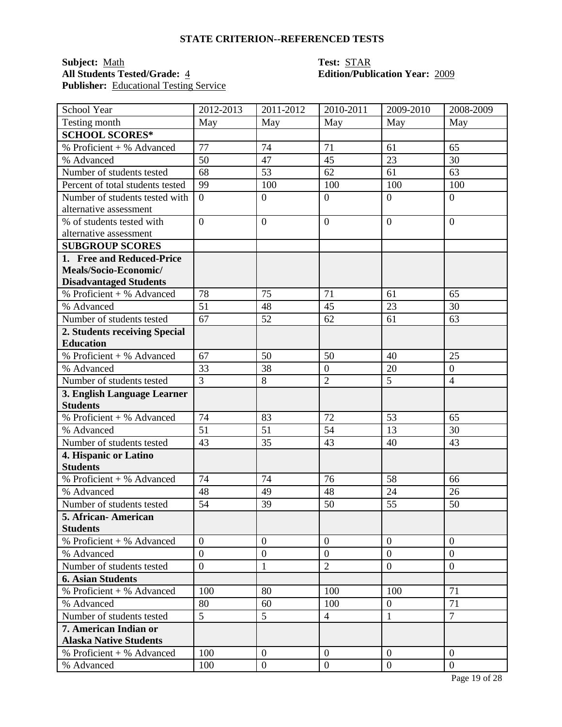### **Subject:** <u>Math</u><br> **All Students Tested/Grade:** 4 **Test: Edition/Publ Publisher:** Educational Testing Service

# **All Students Tested/Grade:** 4 **Edition/Publication Year:** 2009

| School Year                             | 2012-2013      | 2011-2012        | 2010-2011        | 2009-2010        | 2008-2009        |
|-----------------------------------------|----------------|------------------|------------------|------------------|------------------|
| Testing month                           | May            | May              | May              | May              | May              |
| <b>SCHOOL SCORES*</b>                   |                |                  |                  |                  |                  |
| $\overline{\%}$ Proficient + % Advanced | 77             | 74               | 71               | 61               | 65               |
| % Advanced                              | 50             | 47               | 45               | 23               | 30               |
| Number of students tested               | 68             | 53               | 62               | 61               | 63               |
| Percent of total students tested        | 99             | 100              | 100              | 100              | 100              |
| Number of students tested with          | $\overline{0}$ | $\boldsymbol{0}$ | $\boldsymbol{0}$ | $\overline{0}$   | $\overline{0}$   |
| alternative assessment                  |                |                  |                  |                  |                  |
| % of students tested with               | $\overline{0}$ | $\overline{0}$   | $\overline{0}$   | $\overline{0}$   | $\overline{0}$   |
| alternative assessment                  |                |                  |                  |                  |                  |
| <b>SUBGROUP SCORES</b>                  |                |                  |                  |                  |                  |
| 1. Free and Reduced-Price               |                |                  |                  |                  |                  |
| Meals/Socio-Economic/                   |                |                  |                  |                  |                  |
| <b>Disadvantaged Students</b>           |                |                  |                  |                  |                  |
| % Proficient + % Advanced               | 78             | 75               | 71               | 61               | 65               |
| % Advanced                              | 51             | 48               | 45               | 23               | 30               |
| Number of students tested               | 67             | 52               | 62               | 61               | 63               |
| 2. Students receiving Special           |                |                  |                  |                  |                  |
| <b>Education</b>                        |                |                  |                  |                  |                  |
| % Proficient + % Advanced               | 67             | 50               | 50               | 40               | 25               |
| % Advanced                              | 33             | 38               | $\overline{0}$   | 20               | $\boldsymbol{0}$ |
| Number of students tested               | $\overline{3}$ | 8                | $\overline{2}$   | $\overline{5}$   | $\overline{4}$   |
| 3. English Language Learner             |                |                  |                  |                  |                  |
| <b>Students</b>                         |                |                  |                  |                  |                  |
| % Proficient + % Advanced               | 74             | 83               | 72               | 53               | 65               |
| % Advanced                              | 51             | 51               | 54               | 13               | 30               |
| Number of students tested               | 43             | 35               | 43               | 40               | 43               |
| 4. Hispanic or Latino                   |                |                  |                  |                  |                  |
| <b>Students</b>                         |                |                  |                  |                  |                  |
| % Proficient + % Advanced               | 74             | 74               | 76               | 58               | 66               |
| % Advanced                              | 48             | 49               | 48               | 24               | 26               |
| Number of students tested               | 54             | 39               | 50               | 55               | 50               |
| 5. African- American                    |                |                  |                  |                  |                  |
| <b>Students</b>                         |                |                  |                  |                  |                  |
| % Proficient + % Advanced               | $\theta$       | $\theta$         | $\overline{0}$   | $\mathbf{0}$     | $\overline{0}$   |
| % Advanced                              | $\overline{0}$ | $\overline{0}$   | $\overline{0}$   | $\overline{0}$   | $\overline{0}$   |
| Number of students tested               | $\overline{0}$ | 1                | $\overline{2}$   | $\overline{0}$   | $\overline{0}$   |
| <b>6. Asian Students</b>                |                |                  |                  |                  |                  |
| % Proficient + % Advanced               | 100            | 80               | 100              | 100              | 71               |
| % Advanced                              | 80             | 60               | 100              | $\mathbf{0}$     | 71               |
| Number of students tested               | 5              | 5                | $\overline{4}$   | $\mathbf{1}$     | $\overline{7}$   |
| 7. American Indian or                   |                |                  |                  |                  |                  |
| <b>Alaska Native Students</b>           |                |                  |                  |                  |                  |
| $%$ Proficient + % Advanced             | 100            | $\overline{0}$   | $\overline{0}$   | $\overline{0}$   | $\overline{0}$   |
| % Advanced                              | 100            | $\boldsymbol{0}$ | $\mathbf{0}$     | $\boldsymbol{0}$ | $\overline{0}$   |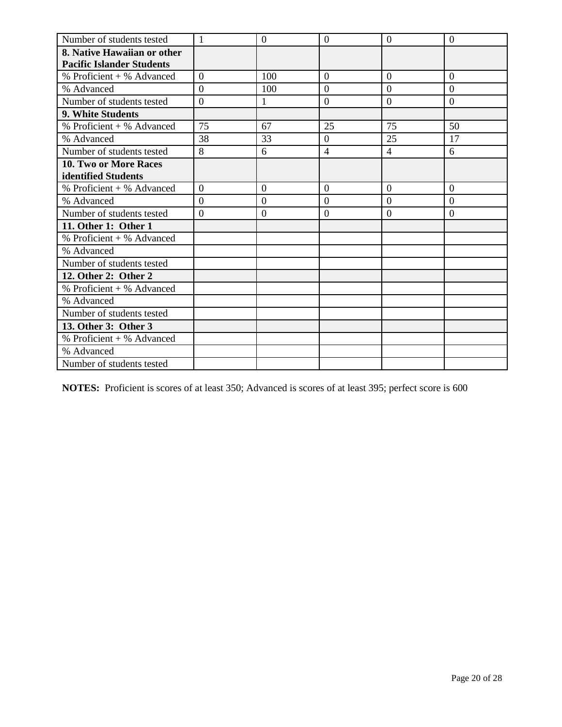| Number of students tested        | $\mathbf{1}$   | $\overline{0}$   | $\overline{0}$ | $\overline{0}$ | $\overline{0}$ |
|----------------------------------|----------------|------------------|----------------|----------------|----------------|
| 8. Native Hawaiian or other      |                |                  |                |                |                |
| <b>Pacific Islander Students</b> |                |                  |                |                |                |
| $%$ Proficient + % Advanced      | $\overline{0}$ | 100              | $\overline{0}$ | $\overline{0}$ | $\overline{0}$ |
| % Advanced                       | $\overline{0}$ | 100              | $\overline{0}$ | $\overline{0}$ | $\overline{0}$ |
| Number of students tested        | $\overline{0}$ | 1                | $\overline{0}$ | $\overline{0}$ | $\overline{0}$ |
| <b>9. White Students</b>         |                |                  |                |                |                |
| % Proficient + % Advanced        | 75             | 67               | 25             | 75             | 50             |
| % Advanced                       | 38             | 33               | $\overline{0}$ | 25             | 17             |
| Number of students tested        | 8              | 6                | $\overline{4}$ | $\overline{4}$ | 6              |
| 10. Two or More Races            |                |                  |                |                |                |
| identified Students              |                |                  |                |                |                |
| % Proficient + % Advanced        | $\overline{0}$ | $\boldsymbol{0}$ | $\overline{0}$ | $\overline{0}$ | $\mathbf{0}$   |
| % Advanced                       | $\Omega$       | $\overline{0}$   | $\Omega$       | $\Omega$       | $\Omega$       |
| Number of students tested        | $\overline{0}$ | $\overline{0}$   | $\overline{0}$ | $\Omega$       | $\overline{0}$ |
| 11. Other 1: Other 1             |                |                  |                |                |                |
| % Proficient + % Advanced        |                |                  |                |                |                |
| % Advanced                       |                |                  |                |                |                |
| Number of students tested        |                |                  |                |                |                |
| 12. Other 2: Other 2             |                |                  |                |                |                |
| % Proficient + % Advanced        |                |                  |                |                |                |
| % Advanced                       |                |                  |                |                |                |
| Number of students tested        |                |                  |                |                |                |
| 13. Other 3: Other 3             |                |                  |                |                |                |
| % Proficient + % Advanced        |                |                  |                |                |                |
| % Advanced                       |                |                  |                |                |                |
| Number of students tested        |                |                  |                |                |                |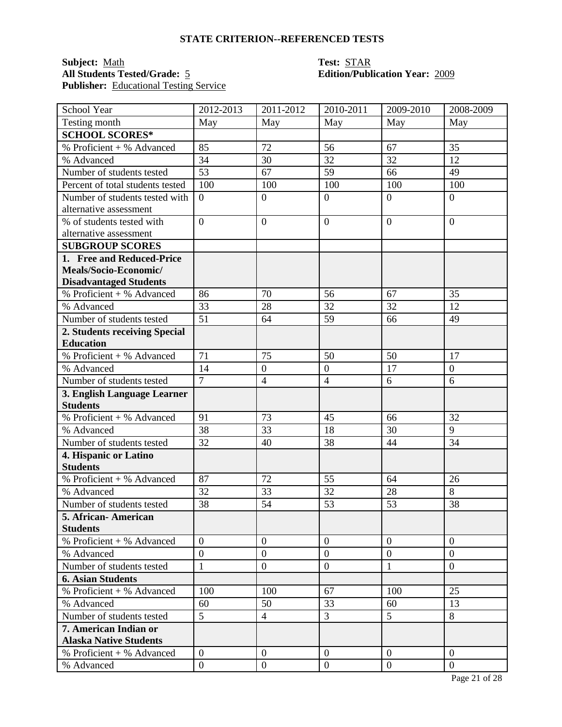#### **Subject:** <u>Math</u><br> **All Students Tested/Grade:** 5 **Test: STAR**<br> **Edition/Publication Year:** 2009 **All Students Tested/Grade:** 5 **Edition/Publication Year:** 2009 **Publisher:** Educational Testing Service

| School Year                             | 2012-2013       | 2011-2012        | 2010-2011        | 2009-2010      | 2008-2009        |
|-----------------------------------------|-----------------|------------------|------------------|----------------|------------------|
| Testing month                           | May             | May              | May              | May            | May              |
| <b>SCHOOL SCORES*</b>                   |                 |                  |                  |                |                  |
| $\overline{\%}$ Proficient + % Advanced | 85              | 72               | 56               | 67             | 35               |
| % Advanced                              | 34              | 30               | 32               | 32             | 12               |
| Number of students tested               | 53              | 67               | 59               | 66             | 49               |
| Percent of total students tested        | 100             | 100              | 100              | 100            | 100              |
| Number of students tested with          | $\overline{0}$  | $\boldsymbol{0}$ | $\boldsymbol{0}$ | $\overline{0}$ | $\overline{0}$   |
| alternative assessment                  |                 |                  |                  |                |                  |
| % of students tested with               | $\overline{0}$  | $\overline{0}$   | $\overline{0}$   | $\overline{0}$ | $\overline{0}$   |
| alternative assessment                  |                 |                  |                  |                |                  |
| <b>SUBGROUP SCORES</b>                  |                 |                  |                  |                |                  |
| 1. Free and Reduced-Price               |                 |                  |                  |                |                  |
| Meals/Socio-Economic/                   |                 |                  |                  |                |                  |
| <b>Disadvantaged Students</b>           |                 |                  |                  |                |                  |
| % Proficient + % Advanced               | 86              | 70               | 56               | 67             | 35               |
| % Advanced                              | 33              | 28               | 32               | 32             | 12               |
| Number of students tested               | $\overline{51}$ | 64               | 59               | 66             | 49               |
| 2. Students receiving Special           |                 |                  |                  |                |                  |
| <b>Education</b>                        |                 |                  |                  |                |                  |
| % Proficient + % Advanced               | 71              | 75               | 50               | 50             | 17               |
| % Advanced                              | 14              | $\boldsymbol{0}$ | $\boldsymbol{0}$ | 17             | $\boldsymbol{0}$ |
| Number of students tested               | $\overline{7}$  | $\overline{4}$   | $\overline{4}$   | 6              | 6                |
| 3. English Language Learner             |                 |                  |                  |                |                  |
| <b>Students</b>                         |                 |                  |                  |                |                  |
| % Proficient + % Advanced               | 91              | 73               | 45               | 66             | 32               |
| % Advanced                              | 38              | 33               | 18               | 30             | 9                |
| Number of students tested               | 32              | 40               | 38               | 44             | 34               |
| 4. Hispanic or Latino                   |                 |                  |                  |                |                  |
| <b>Students</b>                         |                 |                  |                  |                |                  |
| % Proficient + % Advanced               | 87              | 72               | 55               | 64             | 26               |
| % Advanced                              | 32              | 33               | 32               | 28             | 8                |
| Number of students tested               | 38              | 54               | 53               | 53             | 38               |
| 5. African- American                    |                 |                  |                  |                |                  |
| <b>Students</b>                         |                 |                  |                  |                |                  |
| % Proficient + % Advanced               | $\theta$        | $\theta$         | $\overline{0}$   | $\mathbf{0}$   | $\overline{0}$   |
| % Advanced                              | $\overline{0}$  | $\overline{0}$   | $\overline{0}$   | $\overline{0}$ | $\overline{0}$   |
| Number of students tested               | $\mathbf{1}$    | $\overline{0}$   | $\boldsymbol{0}$ | 1              | $\overline{0}$   |
| <b>6. Asian Students</b>                |                 |                  |                  |                |                  |
| % Proficient + % Advanced               | 100             | 100              | 67               | 100            | 25               |
| % Advanced                              | 60              | 50               | 33               | 60             | 13               |
| Number of students tested               | 5               | $\overline{4}$   | 3                | 5              | 8                |
| 7. American Indian or                   |                 |                  |                  |                |                  |
| <b>Alaska Native Students</b>           |                 |                  |                  |                |                  |
| $%$ Proficient + % Advanced             | $\overline{0}$  | $\overline{0}$   | $\overline{0}$   | $\overline{0}$ | $\overline{0}$   |
| % Advanced                              | $\overline{0}$  | $\boldsymbol{0}$ | $\mathbf{0}$     | $\overline{0}$ | $\overline{0}$   |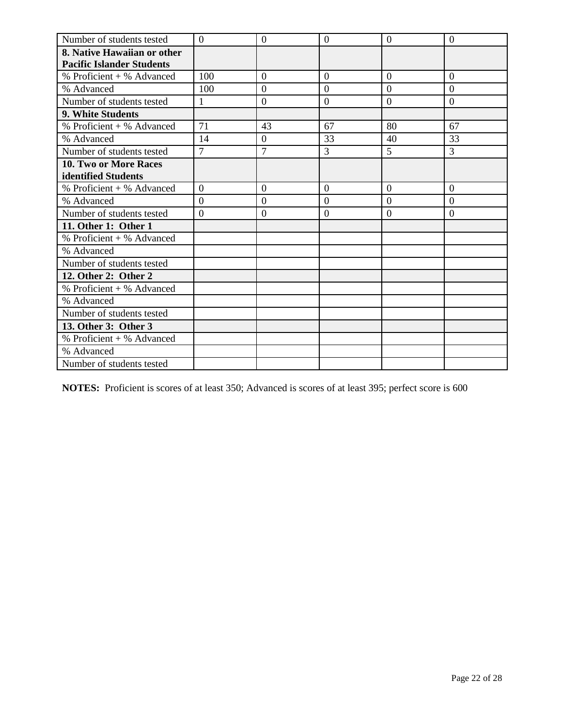| Number of students tested        | $\overline{0}$   | $\overline{0}$   | $\overline{0}$   | $\overline{0}$   | $\theta$       |
|----------------------------------|------------------|------------------|------------------|------------------|----------------|
| 8. Native Hawaiian or other      |                  |                  |                  |                  |                |
| <b>Pacific Islander Students</b> |                  |                  |                  |                  |                |
| % Proficient + % Advanced        | 100              | $\theta$         | $\overline{0}$   | $\overline{0}$   | $\overline{0}$ |
| % Advanced                       | 100              | $\overline{0}$   | $\overline{0}$   | $\overline{0}$   | $\theta$       |
| Number of students tested        | 1                | $\overline{0}$   | $\overline{0}$   | $\overline{0}$   | $\overline{0}$ |
| <b>9. White Students</b>         |                  |                  |                  |                  |                |
| % Proficient + % Advanced        | 71               | 43               | 67               | 80               | 67             |
| % Advanced                       | 14               | $\theta$         | 33               | 40               | 33             |
| Number of students tested        | $\overline{7}$   | $\overline{7}$   | $\overline{3}$   | 5                | $\overline{3}$ |
| <b>10. Two or More Races</b>     |                  |                  |                  |                  |                |
| identified Students              |                  |                  |                  |                  |                |
| % Proficient + % Advanced        | $\boldsymbol{0}$ | $\boldsymbol{0}$ | $\boldsymbol{0}$ | $\boldsymbol{0}$ | $\overline{0}$ |
| % Advanced                       | $\Omega$         | $\overline{0}$   | $\overline{0}$   | $\theta$         | $\Omega$       |
| Number of students tested        | $\overline{0}$   | $\theta$         | $\overline{0}$   | $\overline{0}$   | $\overline{0}$ |
| 11. Other 1: Other 1             |                  |                  |                  |                  |                |
| % Proficient + % Advanced        |                  |                  |                  |                  |                |
| % Advanced                       |                  |                  |                  |                  |                |
| Number of students tested        |                  |                  |                  |                  |                |
| 12. Other 2: Other 2             |                  |                  |                  |                  |                |
| % Proficient + % Advanced        |                  |                  |                  |                  |                |
| % Advanced                       |                  |                  |                  |                  |                |
| Number of students tested        |                  |                  |                  |                  |                |
| 13. Other 3: Other 3             |                  |                  |                  |                  |                |
| % Proficient + % Advanced        |                  |                  |                  |                  |                |
| % Advanced                       |                  |                  |                  |                  |                |
| Number of students tested        |                  |                  |                  |                  |                |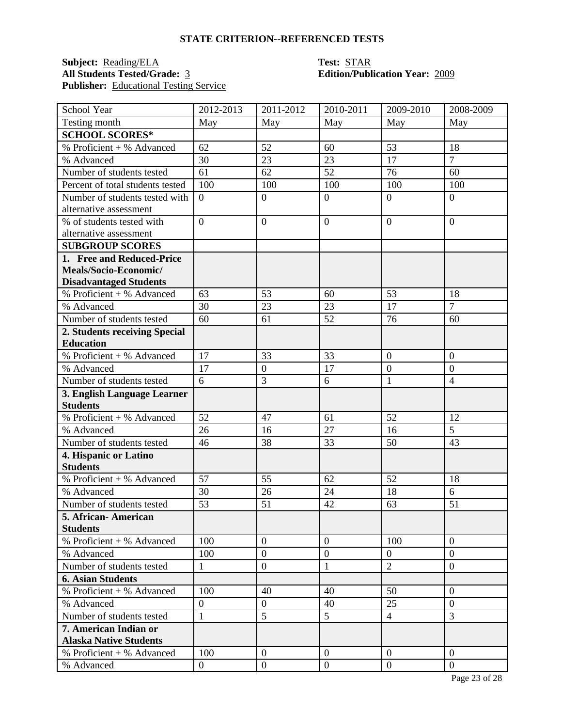## **Subject:** <u>Reading/ELA</u> **Test:** <u>STAR</u><br> **All Students Tested/Grade:** <u>3</u> **Calcular Edition/Publ Publisher:** <u>Educational Testing Service</u>

# **All Students Tested/Grade:** 3 **Edition/Publication Year:** 2009

| School Year                             | 2012-2013        | 2011-2012        | 2010-2011        | 2009-2010        | 2008-2009        |
|-----------------------------------------|------------------|------------------|------------------|------------------|------------------|
| Testing month                           | May              | May              | May              | May              | May              |
| <b>SCHOOL SCORES*</b>                   |                  |                  |                  |                  |                  |
| $\overline{\%}$ Proficient + % Advanced | 62               | 52               | 60               | 53               | 18               |
| % Advanced                              | 30               | 23               | 23               | 17               | $\overline{7}$   |
| Number of students tested               | 61               | 62               | 52               | 76               | 60               |
| Percent of total students tested        | 100              | 100              | 100              | 100              | 100              |
| Number of students tested with          | $\overline{0}$   | $\boldsymbol{0}$ | $\mathbf{0}$     | $\overline{0}$   | $\overline{0}$   |
| alternative assessment                  |                  |                  |                  |                  |                  |
| % of students tested with               | $\overline{0}$   | $\overline{0}$   | $\overline{0}$   | $\overline{0}$   | $\overline{0}$   |
| alternative assessment                  |                  |                  |                  |                  |                  |
| <b>SUBGROUP SCORES</b>                  |                  |                  |                  |                  |                  |
| 1. Free and Reduced-Price               |                  |                  |                  |                  |                  |
| Meals/Socio-Economic/                   |                  |                  |                  |                  |                  |
| <b>Disadvantaged Students</b>           |                  |                  |                  |                  |                  |
| % Proficient + % Advanced               | 63               | 53               | 60               | 53               | 18               |
| % Advanced                              | 30               | 23               | 23               | $\overline{17}$  | $\overline{7}$   |
| Number of students tested               | 60               | 61               | 52               | 76               | 60               |
| 2. Students receiving Special           |                  |                  |                  |                  |                  |
| <b>Education</b>                        |                  |                  |                  |                  |                  |
| % Proficient + % Advanced               | 17               | 33               | 33               | $\boldsymbol{0}$ | $\overline{0}$   |
| % Advanced                              | 17               | $\boldsymbol{0}$ | 17               | $\boldsymbol{0}$ | $\boldsymbol{0}$ |
| Number of students tested               | 6                | 3                | 6                | $\mathbf{1}$     | $\overline{4}$   |
| 3. English Language Learner             |                  |                  |                  |                  |                  |
| <b>Students</b>                         |                  |                  |                  |                  |                  |
| % Proficient + % Advanced               | 52               | 47               | 61               | 52               | 12               |
| % Advanced                              | 26               | 16               | 27               | 16               | 5                |
| Number of students tested               | 46               | 38               | 33               | 50               | 43               |
| 4. Hispanic or Latino                   |                  |                  |                  |                  |                  |
| <b>Students</b>                         |                  |                  |                  |                  |                  |
| % Proficient + % Advanced               | 57               | 55               | 62               | 52               | 18               |
| % Advanced                              | 30               | 26               | 24               | 18               | 6                |
| Number of students tested               | 53               | 51               | 42               | 63               | 51               |
| 5. African- American                    |                  |                  |                  |                  |                  |
| <b>Students</b>                         |                  |                  |                  |                  |                  |
| % Proficient + % Advanced               | 100              | $\overline{0}$   | $\overline{0}$   | 100              | $\overline{0}$   |
| % Advanced                              | 100              | $\overline{0}$   | $\mathbf{0}$     | $\overline{0}$   | $\overline{0}$   |
| Number of students tested               | $\mathbf{1}$     | $\boldsymbol{0}$ | $\mathbf{1}$     | $\overline{2}$   | $\overline{0}$   |
| <b>6. Asian Students</b>                |                  |                  |                  |                  |                  |
| % Proficient + % Advanced               | 100              | 40               | 40               | 50               | $\overline{0}$   |
| % Advanced                              | $\boldsymbol{0}$ | $\overline{0}$   | 40               | 25               | $\overline{0}$   |
| Number of students tested               | $\mathbf{1}$     | 5                | 5                | $\overline{4}$   | 3                |
| 7. American Indian or                   |                  |                  |                  |                  |                  |
| <b>Alaska Native Students</b>           |                  |                  |                  |                  |                  |
| $%$ Proficient + % Advanced             | 100              | $\overline{0}$   | $\overline{0}$   | $\overline{0}$   | $\overline{0}$   |
| % Advanced                              | $\overline{0}$   | $\boldsymbol{0}$ | $\boldsymbol{0}$ | $\boldsymbol{0}$ | $\overline{0}$   |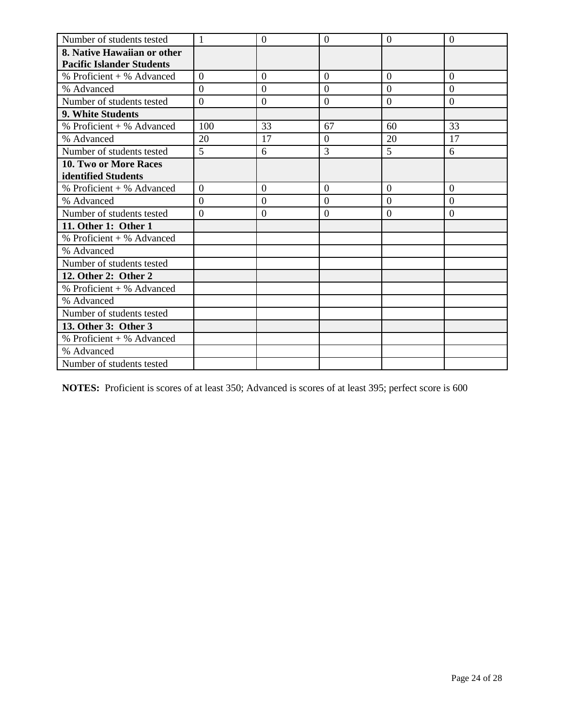| Number of students tested        | 1              | $\overline{0}$   | $\overline{0}$ | $\Omega$       | $\theta$       |
|----------------------------------|----------------|------------------|----------------|----------------|----------------|
| 8. Native Hawaiian or other      |                |                  |                |                |                |
| <b>Pacific Islander Students</b> |                |                  |                |                |                |
| $%$ Proficient + % Advanced      | $\overline{0}$ | $\overline{0}$   | $\overline{0}$ | $\overline{0}$ | $\overline{0}$ |
| % Advanced                       | $\overline{0}$ | $\overline{0}$   | $\overline{0}$ | $\overline{0}$ | $\overline{0}$ |
| Number of students tested        | $\overline{0}$ | $\boldsymbol{0}$ | $\overline{0}$ | $\overline{0}$ | $\overline{0}$ |
| <b>9. White Students</b>         |                |                  |                |                |                |
| $%$ Proficient + % Advanced      | 100            | 33               | 67             | 60             | 33             |
| % Advanced                       | 20             | 17               | $\Omega$       | 20             | 17             |
| Number of students tested        | 5              | 6                | 3              | 5              | 6              |
| 10. Two or More Races            |                |                  |                |                |                |
| identified Students              |                |                  |                |                |                |
| % Proficient + % Advanced        | $\overline{0}$ | $\overline{0}$   | $\overline{0}$ | $\overline{0}$ | $\overline{0}$ |
| % Advanced                       | $\overline{0}$ | $\overline{0}$   | $\overline{0}$ | $\overline{0}$ | $\overline{0}$ |
| Number of students tested        | $\overline{0}$ | $\boldsymbol{0}$ | $\overline{0}$ | $\theta$       | $\overline{0}$ |
| 11. Other 1: Other 1             |                |                  |                |                |                |
| % Proficient + % Advanced        |                |                  |                |                |                |
| % Advanced                       |                |                  |                |                |                |
| Number of students tested        |                |                  |                |                |                |
| 12. Other 2: Other 2             |                |                  |                |                |                |
| % Proficient + % Advanced        |                |                  |                |                |                |
| % Advanced                       |                |                  |                |                |                |
| Number of students tested        |                |                  |                |                |                |
| 13. Other 3: Other 3             |                |                  |                |                |                |
| % Proficient + % Advanced        |                |                  |                |                |                |
| % Advanced                       |                |                  |                |                |                |
| Number of students tested        |                |                  |                |                |                |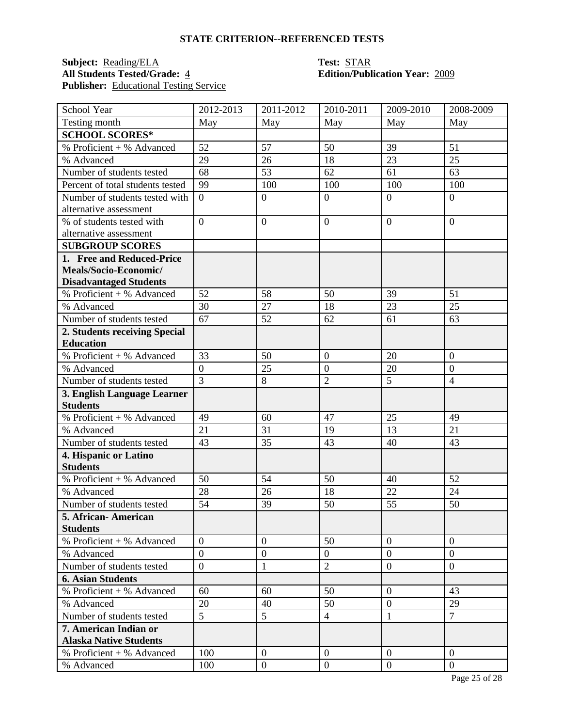### **Subject:** <u>Reading/ELA</u> **Test: STAR**<br> **All Students Tested/Grade:** 4 **Test: Edition/Publ** Publisher: Educational Testing Service

# **All Students Tested/Grade:** 4 **Edition/Publication Year:** 2009

| School Year                      | 2012-2013        | 2011-2012        | 2010-2011        | 2009-2010      | 2008-2009        |
|----------------------------------|------------------|------------------|------------------|----------------|------------------|
| Testing month                    | May              | May              | May              | May            | May              |
| <b>SCHOOL SCORES*</b>            |                  |                  |                  |                |                  |
| % Proficient + % Advanced        | 52               | 57               | 50               | 39             | 51               |
| % Advanced                       | 29               | 26               | 18               | 23             | 25               |
| Number of students tested        | 68               | 53               | 62               | 61             | 63               |
| Percent of total students tested | 99               | 100              | 100              | 100            | 100              |
| Number of students tested with   | $\overline{0}$   | $\mathbf{0}$     | $\overline{0}$   | $\overline{0}$ | $\overline{0}$   |
| alternative assessment           |                  |                  |                  |                |                  |
| % of students tested with        | $\overline{0}$   | $\mathbf{0}$     | $\overline{0}$   | $\overline{0}$ | $\overline{0}$   |
| alternative assessment           |                  |                  |                  |                |                  |
| <b>SUBGROUP SCORES</b>           |                  |                  |                  |                |                  |
| 1. Free and Reduced-Price        |                  |                  |                  |                |                  |
| Meals/Socio-Economic/            |                  |                  |                  |                |                  |
| <b>Disadvantaged Students</b>    |                  |                  |                  |                |                  |
| % Proficient + % Advanced        | 52               | 58               | 50               | 39             | 51               |
| % Advanced                       | 30               | 27               | 18               | 23             | 25               |
| Number of students tested        | 67               | 52               | 62               | 61             | 63               |
| 2. Students receiving Special    |                  |                  |                  |                |                  |
| <b>Education</b>                 |                  |                  |                  |                |                  |
| % Proficient + % Advanced        | 33               | 50               | $\boldsymbol{0}$ | 20             | $\overline{0}$   |
| % Advanced                       | $\boldsymbol{0}$ | 25               | $\boldsymbol{0}$ | 20             | $\boldsymbol{0}$ |
| Number of students tested        | $\overline{3}$   | 8                | $\overline{2}$   | 5              | $\overline{4}$   |
| 3. English Language Learner      |                  |                  |                  |                |                  |
| <b>Students</b>                  |                  |                  |                  |                |                  |
| % Proficient + % Advanced        | 49               | 60               | 47               | 25             | 49               |
| % Advanced                       | 21               | 31               | 19               | 13             | 21               |
| Number of students tested        | 43               | 35               | 43               | 40             | 43               |
| 4. Hispanic or Latino            |                  |                  |                  |                |                  |
| <b>Students</b>                  |                  |                  |                  |                |                  |
| % Proficient + % Advanced        | 50               | 54               | 50               | 40             | 52               |
| % Advanced                       | 28               | 26               | 18               | 22             | 24               |
| Number of students tested        | 54               | 39               | 50               | 55             | 50               |
| 5. African- American             |                  |                  |                  |                |                  |
| <b>Students</b>                  |                  |                  |                  |                |                  |
| $%$ Proficient + % Advanced      | $\overline{0}$   | $\theta$         | 50               | $\mathbf{0}$   | $\theta$         |
| % Advanced                       | $\overline{0}$   | $\boldsymbol{0}$ | $\overline{0}$   | $\overline{0}$ | $\overline{0}$   |
| Number of students tested        | $\overline{0}$   | $\mathbf{1}$     | $\overline{2}$   | $\overline{0}$ | $\overline{0}$   |
| <b>6. Asian Students</b>         |                  |                  |                  |                |                  |
| % Proficient + % Advanced        | 60               | 60               | 50               | $\overline{0}$ | 43               |
| % Advanced                       | 20               | 40               | 50               | $\overline{0}$ | 29               |
| Number of students tested        | 5                | 5                | $\overline{4}$   | $\mathbf{1}$   | $\overline{7}$   |
| 7. American Indian or            |                  |                  |                  |                |                  |
| <b>Alaska Native Students</b>    |                  |                  |                  |                |                  |
| $%$ Proficient + % Advanced      | 100              | $\overline{0}$   | $\overline{0}$   | $\theta$       | $\overline{0}$   |
| % Advanced                       | 100              | $\boldsymbol{0}$ | $\mathbf{0}$     | $\overline{0}$ | $\overline{0}$   |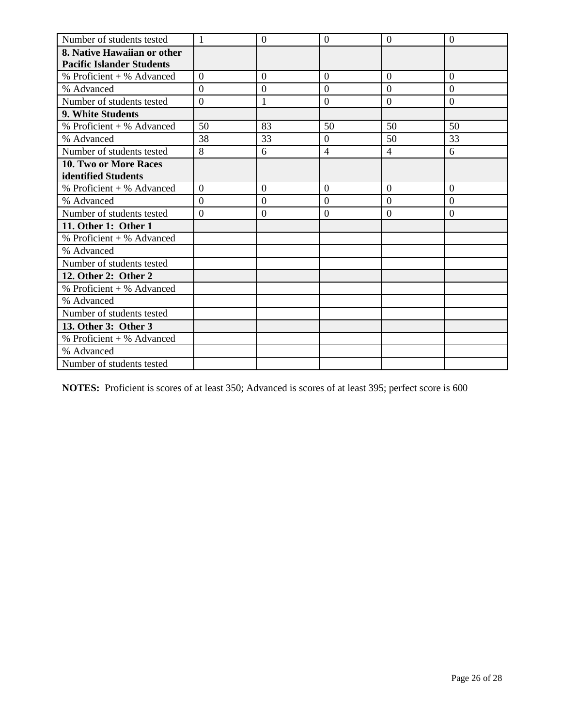| Number of students tested        | 1              | $\overline{0}$   | $\overline{0}$ | $\overline{0}$ | $\theta$       |
|----------------------------------|----------------|------------------|----------------|----------------|----------------|
| 8. Native Hawaiian or other      |                |                  |                |                |                |
| <b>Pacific Islander Students</b> |                |                  |                |                |                |
| $%$ Proficient + % Advanced      | $\overline{0}$ | $\overline{0}$   | $\overline{0}$ | $\overline{0}$ | $\overline{0}$ |
| % Advanced                       | $\overline{0}$ | $\overline{0}$   | $\overline{0}$ | $\overline{0}$ | $\overline{0}$ |
| Number of students tested        | $\overline{0}$ | $\mathbf{1}$     | $\overline{0}$ | $\overline{0}$ | $\overline{0}$ |
| <b>9. White Students</b>         |                |                  |                |                |                |
| $%$ Proficient + % Advanced      | 50             | 83               | 50             | 50             | 50             |
| % Advanced                       | 38             | 33               | $\overline{0}$ | 50             | 33             |
| Number of students tested        | 8              | 6                | $\overline{4}$ | $\overline{4}$ | 6              |
| 10. Two or More Races            |                |                  |                |                |                |
| identified Students              |                |                  |                |                |                |
| % Proficient + % Advanced        | $\overline{0}$ | $\overline{0}$   | $\overline{0}$ | $\overline{0}$ | $\overline{0}$ |
| % Advanced                       | $\overline{0}$ | $\overline{0}$   | $\overline{0}$ | $\overline{0}$ | $\overline{0}$ |
| Number of students tested        | $\overline{0}$ | $\boldsymbol{0}$ | $\overline{0}$ | $\theta$       | $\overline{0}$ |
| 11. Other 1: Other 1             |                |                  |                |                |                |
| % Proficient + % Advanced        |                |                  |                |                |                |
| % Advanced                       |                |                  |                |                |                |
| Number of students tested        |                |                  |                |                |                |
| 12. Other 2: Other 2             |                |                  |                |                |                |
| % Proficient + % Advanced        |                |                  |                |                |                |
| % Advanced                       |                |                  |                |                |                |
| Number of students tested        |                |                  |                |                |                |
| 13. Other 3: Other 3             |                |                  |                |                |                |
| $%$ Proficient + % Advanced      |                |                  |                |                |                |
| % Advanced                       |                |                  |                |                |                |
| Number of students tested        |                |                  |                |                |                |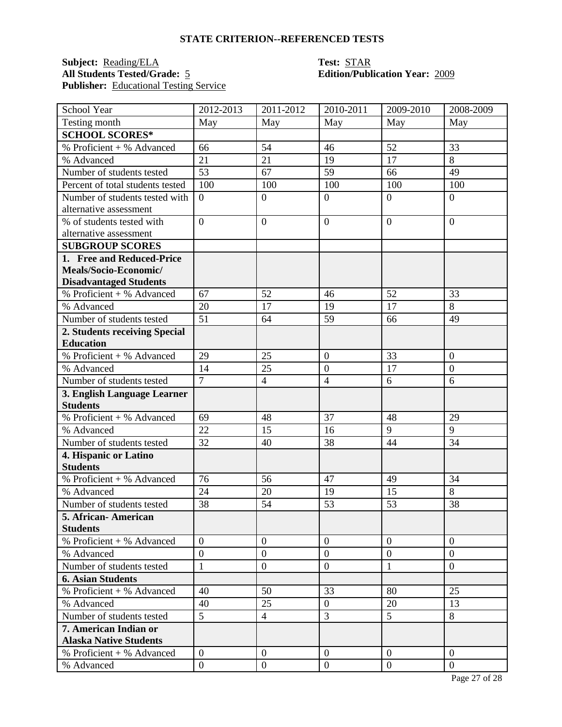## **Subject:** <u>Reading/ELA</u> **Test:** <u>STAR</u><br> **All Students Tested/Grade:** 5 **Edition/Publ Publisher:** <u>Educational Testing Service</u>

# **Edition/Publication Year: 2009**

| School Year                             | 2012-2013      | 2011-2012        | 2010-2011        | 2009-2010      | 2008-2009        |
|-----------------------------------------|----------------|------------------|------------------|----------------|------------------|
| Testing month                           | May            | May              | May              | May            | May              |
| <b>SCHOOL SCORES*</b>                   |                |                  |                  |                |                  |
| $\overline{\%}$ Proficient + % Advanced | 66             | 54               | 46               | 52             | 33               |
| % Advanced                              | 21             | 21               | 19               | 17             | 8                |
| Number of students tested               | 53             | 67               | 59               | 66             | 49               |
| Percent of total students tested        | 100            | 100              | 100              | 100            | 100              |
| Number of students tested with          | $\overline{0}$ | $\boldsymbol{0}$ | $\boldsymbol{0}$ | $\overline{0}$ | $\overline{0}$   |
| alternative assessment                  |                |                  |                  |                |                  |
| % of students tested with               | $\overline{0}$ | $\overline{0}$   | $\overline{0}$   | $\overline{0}$ | $\overline{0}$   |
| alternative assessment                  |                |                  |                  |                |                  |
| <b>SUBGROUP SCORES</b>                  |                |                  |                  |                |                  |
| 1. Free and Reduced-Price               |                |                  |                  |                |                  |
| Meals/Socio-Economic/                   |                |                  |                  |                |                  |
| <b>Disadvantaged Students</b>           |                |                  |                  |                |                  |
| % Proficient + % Advanced               | 67             | 52               | 46               | 52             | 33               |
| % Advanced                              | 20             | 17               | 19               | 17             | 8                |
| Number of students tested               | 51             | 64               | 59               | 66             | 49               |
| 2. Students receiving Special           |                |                  |                  |                |                  |
| <b>Education</b>                        |                |                  |                  |                |                  |
| % Proficient + % Advanced               | 29             | 25               | $\overline{0}$   | 33             | $\overline{0}$   |
| % Advanced                              | 14             | 25               | $\boldsymbol{0}$ | 17             | $\boldsymbol{0}$ |
| Number of students tested               | $\overline{7}$ | $\overline{4}$   | $\overline{4}$   | 6              | 6                |
| 3. English Language Learner             |                |                  |                  |                |                  |
| <b>Students</b>                         |                |                  |                  |                |                  |
| % Proficient + % Advanced               | 69             | 48               | 37               | 48             | 29               |
| % Advanced                              | 22             | 15               | 16               | 9              | 9                |
| Number of students tested               | 32             | 40               | 38               | 44             | 34               |
| 4. Hispanic or Latino                   |                |                  |                  |                |                  |
| <b>Students</b>                         |                |                  |                  |                |                  |
| % Proficient + % Advanced               | 76             | 56               | 47               | 49             | 34               |
| % Advanced                              | 24             | 20               | 19               | 15             | 8                |
| Number of students tested               | 38             | 54               | 53               | 53             | 38               |
| 5. African- American                    |                |                  |                  |                |                  |
| <b>Students</b>                         |                |                  |                  |                |                  |
| % Proficient + % Advanced               | $\theta$       | $\theta$         | $\overline{0}$   | $\mathbf{0}$   | $\overline{0}$   |
| % Advanced                              | $\overline{0}$ | $\overline{0}$   | $\overline{0}$   | $\overline{0}$ | $\overline{0}$   |
| Number of students tested               | $\mathbf{1}$   | $\overline{0}$   | $\boldsymbol{0}$ | 1              | $\overline{0}$   |
| <b>6. Asian Students</b>                |                |                  |                  |                |                  |
| % Proficient + % Advanced               | 40             | 50               | 33               | 80             | 25               |
| % Advanced                              | 40             | 25               | $\mathbf{0}$     | 20             | 13               |
| Number of students tested               | 5              | $\overline{4}$   | 3                | 5              | 8                |
| 7. American Indian or                   |                |                  |                  |                |                  |
| <b>Alaska Native Students</b>           |                |                  |                  |                |                  |
| $%$ Proficient + % Advanced             | $\overline{0}$ | $\overline{0}$   | $\overline{0}$   | $\overline{0}$ | $\overline{0}$   |
| % Advanced                              | $\overline{0}$ | $\boldsymbol{0}$ | $\mathbf{0}$     | $\overline{0}$ | $\overline{0}$   |